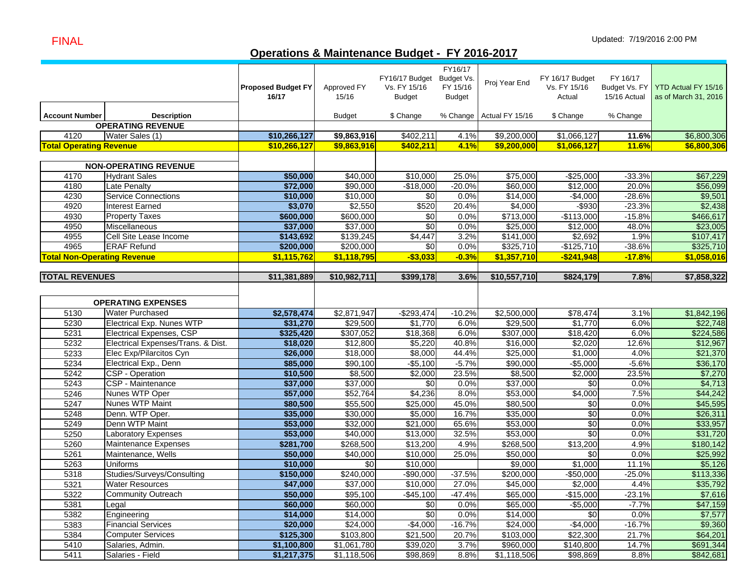# **Operations & Maintenance Budget - FY 2016-2017**

|                                    |                                    | <b>Proposed Budget FY</b><br>16/17 | Approved FY<br>15/16  | FY16/17 Budget<br>Vs. FY 15/16<br><b>Budget</b> | FY16/17<br>Budget Vs.<br>FY 15/16<br><b>Budget</b> | Proj Year End              | FY 16/17 Budget<br>Vs. FY 15/16<br>Actual | FY 16/17<br>Budget Vs. FY<br>15/16 Actual | YTD Actual FY 15/16<br>as of March 31, 2016 |
|------------------------------------|------------------------------------|------------------------------------|-----------------------|-------------------------------------------------|----------------------------------------------------|----------------------------|-------------------------------------------|-------------------------------------------|---------------------------------------------|
|                                    | <b>Description</b>                 |                                    |                       |                                                 |                                                    |                            |                                           |                                           |                                             |
| <b>Account Number</b>              | <b>OPERATING REVENUE</b>           |                                    | <b>Budget</b>         | \$ Change                                       |                                                    | % Change   Actual FY 15/16 | \$ Change                                 | % Change                                  |                                             |
| 4120                               | Water Sales (1)                    | \$10,266,127                       | \$9,863,916           | \$402,211                                       | 4.1%                                               | \$9,200,000                | \$1,066,127                               | 11.6%                                     | \$6,800,306                                 |
| <b>Total Operating Revenue</b>     |                                    | \$10,266,127                       | \$9,863,916           | \$402,211                                       | 4.1%                                               | \$9,200,000                | \$1,066,127                               | <b>11.6%</b>                              | \$6,800,306                                 |
|                                    |                                    |                                    |                       |                                                 |                                                    |                            |                                           |                                           |                                             |
|                                    | <b>NON-OPERATING REVENUE</b>       |                                    |                       |                                                 |                                                    |                            |                                           |                                           |                                             |
| 4170                               | <b>Hydrant Sales</b>               | \$50,000                           | \$40,000              | \$10,000                                        | 25.0%                                              | \$75,000                   | $-$25,000$                                | $-33.3%$                                  | \$67,229                                    |
| 4180                               | <b>Late Penalty</b>                | \$72,000                           | \$90,000              | $-$18,000$                                      | $-20.0%$                                           | \$60,000                   | \$12,000                                  | 20.0%                                     | \$56,099                                    |
| 4230                               | <b>Service Connections</b>         | \$10,000                           | \$10,000              | \$0                                             | 0.0%                                               | \$14,000                   | $-$4,000$                                 | $-28.6%$                                  | \$9,501                                     |
| 4920                               | <b>Interest Earned</b>             | \$3,070                            | \$2,550               | \$520                                           | 20.4%                                              | \$4,000                    | $-$ \$930                                 | $-23.3%$                                  | \$2,438                                     |
| 4930                               | <b>Property Taxes</b>              | \$600,000                          | \$600,000             | $\sqrt{6}$                                      | 0.0%                                               | \$713,000                  | $-$113,000$                               | $-15.8%$                                  | \$466,617                                   |
| 4950                               | Miscellaneous                      | \$37,000                           | \$37,000              | \$0                                             | 0.0%                                               | \$25,000                   | \$12,000                                  | 48.0%                                     | \$23,005                                    |
| 4955                               | Cell Site Lease Income             | \$143,692                          | \$139,245             | $\sqrt{$4,447}$                                 | 3.2%                                               | $\overline{$}141,000$      | \$2,692                                   | 1.9%                                      | \$107,417                                   |
| 4965                               | <b>ERAF Refund</b>                 | \$200,000                          | \$200,000             | \$0                                             | 0.0%                                               | \$325,710                  | $-$125,710$                               | $-38.6%$                                  | \$325,710                                   |
| <b>Total Non-Operating Revenue</b> |                                    | \$1,115,762                        | \$1,118,795           | $-$3,033$                                       | $-0.3%$                                            | \$1,357,710                | $-$241,948$                               | $-17.8%$                                  | \$1,058,016                                 |
|                                    |                                    |                                    |                       |                                                 |                                                    |                            |                                           |                                           |                                             |
| <b>TOTAL REVENUES</b>              |                                    | \$11,381,889                       | \$10,982,711          | \$399,178                                       | 3.6%                                               | \$10,557,710               | \$824,179                                 | 7.8%                                      | \$7,858,322                                 |
|                                    |                                    |                                    |                       |                                                 |                                                    |                            |                                           |                                           |                                             |
|                                    | <b>OPERATING EXPENSES</b>          |                                    |                       |                                                 |                                                    |                            |                                           |                                           |                                             |
| 5130                               | <b>Water Purchased</b>             | \$2,578,474                        | \$2,871,947           | $-$293,474$                                     | $-10.2%$                                           | \$2,500,000                | \$78,474                                  | 3.1%                                      | \$1,842,196                                 |
| 5230                               | Electrical Exp. Nunes WTP          | \$31,270                           | \$29,500              | \$1,770                                         | 6.0%                                               | \$29,500                   | \$1,770                                   | 6.0%                                      | \$22,748                                    |
| 5231                               | <b>Electrical Expenses, CSP</b>    | \$325,420                          | $\overline{$}307,052$ | \$18,368                                        | 6.0%                                               | \$307,000                  | \$18,420                                  | 6.0%                                      | \$224,586                                   |
| 5232                               | Electrical Expenses/Trans. & Dist. | \$18,020                           | \$12,800              | \$5,220                                         | 40.8%                                              | \$16,000                   | \$2,020                                   | 12.6%                                     | \$12,967                                    |
| 5233                               | Elec Exp/Pilarcitos Cyn            | \$26,000                           | \$18,000              | \$8,000                                         | 44.4%                                              | \$25,000                   | \$1,000                                   | 4.0%                                      | \$21,370                                    |
| 5234                               | Electrical Exp., Denn              | \$85,000                           | \$90,100              | $-$5,100$                                       | $-5.7%$                                            | \$90,000                   | $-$5,000$                                 | $-5.6%$                                   | \$36,170                                    |
| 5242                               | CSP - Operation                    | \$10,500                           | \$8,500               | $\overline{$}2,000$                             | 23.5%                                              | \$8,500                    | \$2,000                                   | 23.5%                                     | \$7,270                                     |
| 5243                               | CSP - Maintenance                  | \$37,000                           | \$37,000              | \$0                                             | 0.0%                                               | \$37,000                   | $\frac{6}{3}$                             | 0.0%                                      | \$4,713                                     |
| 5246                               | Nunes WTP Oper                     | \$57,000                           | \$52,764              | \$4,236                                         | 8.0%                                               | \$53,000                   | \$4,000                                   | 7.5%                                      | \$44,242                                    |
| 5247                               | Nunes WTP Maint                    | \$80,500                           | \$55,500              | \$25,000                                        | 45.0%                                              | \$80,500                   | \$0                                       | 0.0%                                      | \$45,595                                    |
| 5248                               | Denn. WTP Oper.                    | \$35,000                           | \$30,000              | \$5,000                                         | 16.7%                                              | \$35,000                   | $\frac{6}{3}$                             | 0.0%                                      | \$26,311                                    |
| 5249                               | Denn WTP Maint                     | \$53,000                           | \$32,000              | \$21,000                                        | 65.6%                                              | \$53,000                   | \$0                                       | 0.0%                                      | \$33,957                                    |
| 5250                               | <b>Laboratory Expenses</b>         | \$53,000                           | \$40,000              | \$13,000                                        | 32.5%                                              | \$53,000                   | \$0                                       | 0.0%                                      | \$31,720                                    |
| 5260                               | Maintenance Expenses               | \$281,700                          | \$268,500             | \$13,200                                        | 4.9%                                               | \$268,500                  | \$13,200                                  | 4.9%                                      | \$180,142                                   |
| 5261                               | Maintenance, Wells                 | \$50,000                           | \$40,000              | \$10,000                                        | 25.0%                                              | \$50,000                   | \$0                                       | 0.0%                                      | \$25,992                                    |
| 5263                               | Uniforms                           | \$10,000                           | \$0                   | \$10,000                                        |                                                    | \$9,000                    | \$1,000                                   | 11.1%                                     | \$5,126                                     |
| 5318                               | Studies/Surveys/Consulting         | \$150,000                          | \$240,000             | $-$90,000$                                      | $-37.5%$                                           | \$200,000                  | $-$50,000$                                | $-25.0%$                                  | \$113,336                                   |
| 5321                               | <b>Water Resources</b>             | \$47,000                           | \$37,000              | \$10,000                                        | 27.0%                                              | \$45,000                   | \$2,000                                   | 4.4%                                      | \$35,792                                    |
| 5322                               | <b>Community Outreach</b>          | \$50,000                           | \$95,100              | $-$45,100$                                      | $-47.4%$                                           | \$65,000                   | $-$15,000$                                | $-23.1%$                                  | \$7,616                                     |
| 5381                               | Legal                              | \$60,000                           | \$60,000              | \$0                                             | 0.0%                                               | \$65,000                   | $-$5,000$                                 | $-7.7%$                                   | \$47,159                                    |
| 5382                               | Engineering                        | \$14,000                           | \$14,000              | \$0                                             | 0.0%                                               | \$14,000                   | \$0                                       | 0.0%                                      | \$7,577                                     |
| 5383                               | <b>Financial Services</b>          | \$20,000                           | \$24,000              | $-$4,000$                                       | $-16.7%$                                           | \$24,000                   | $-$4,000$                                 | $-16.7%$                                  | \$9,360                                     |
| 5384                               | <b>Computer Services</b>           | \$125,300                          | \$103,800             | \$21,500                                        | 20.7%                                              | \$103,000                  | \$22,300                                  | 21.7%                                     | \$64,201                                    |
| 5410                               | Salaries, Admin.                   | \$1,100,800                        | \$1,061,780           | \$39,020                                        | 3.7%                                               | \$960,000                  | \$140,800                                 | 14.7%                                     | \$691,344                                   |
| 5411                               | Salaries - Field                   | \$1,217,375                        | \$1,118,506           | \$98,869                                        | 8.8%                                               | \$1,118,506                | \$98,869                                  | 8.8%                                      | \$842,681                                   |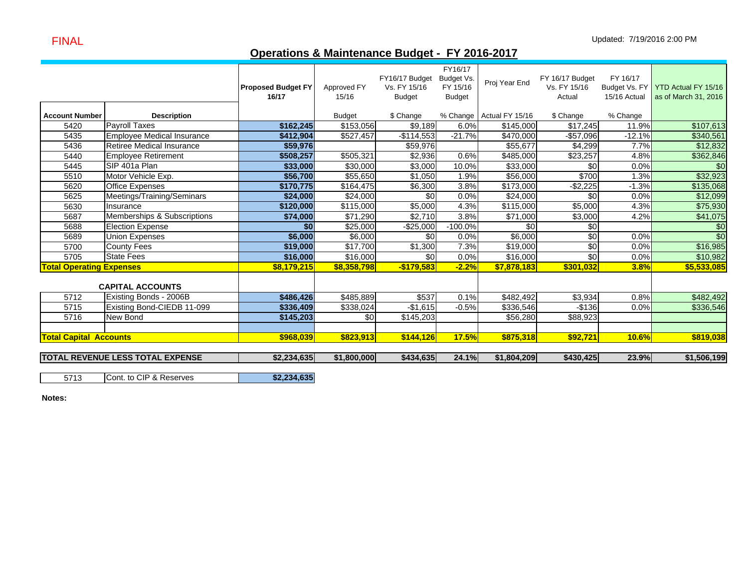FINAL

# **Operations & Maintenance Budget - FY 2016-2017**

|                                 |                                         |                           |                  |                 | FY16/17       |                          |                 |              |                                   |
|---------------------------------|-----------------------------------------|---------------------------|------------------|-----------------|---------------|--------------------------|-----------------|--------------|-----------------------------------|
|                                 |                                         |                           |                  | FY16/17 Budget  | Budget Vs.    | Proj Year End            | FY 16/17 Budget | FY 16/17     |                                   |
|                                 |                                         | <b>Proposed Budget FY</b> | Approved FY      | Vs. FY 15/16    | FY 15/16      |                          | Vs. FY 15/16    |              | Budget Vs. FY YTD Actual FY 15/16 |
|                                 |                                         | 16/17                     | 15/16            | <b>Budget</b>   | <b>Budget</b> |                          | Actual          | 15/16 Actual | as of March 31, 2016              |
| <b>Account Number</b>           | <b>Description</b>                      |                           | <b>Budget</b>    | \$ Change       |               | % Change Actual FY 15/16 | \$ Change       | % Change     |                                   |
| 5420                            | <b>Payroll Taxes</b>                    | \$162,245                 | \$153,056        | \$9,189         | 6.0%          | \$145.000                | \$17,245        | 11.9%        | \$107,613                         |
| 5435                            | <b>Employee Medical Insurance</b>       | \$412,904                 | \$527,457        | $-$ \$114,553   | $-21.7%$      | $\overline{$470,000}$    | $-$57,096$      | $-12.1%$     | \$340,561                         |
| 5436                            | Retiree Medical Insurance               | \$59,976                  |                  | \$59,976        |               | \$55,677                 | \$4,299         | 7.7%         | \$12,832                          |
| 5440                            | <b>Employee Retirement</b>              | \$508,257                 | \$505,321        | \$2,936         | 0.6%          | \$485,000                | \$23,257        | 4.8%         | \$362,846                         |
| 5445                            | SIP 401a Plan                           | \$33,000                  | \$30,000         | \$3,000         | 10.0%         | \$33,000                 | \$0             | 0.0%         | \$0                               |
| 5510                            | Motor Vehicle Exp.                      | \$56,700                  | \$55,650         | \$1,050         | 1.9%          | \$56,000                 | \$700           | 1.3%         | \$32,923                          |
| 5620                            | <b>Office Expenses</b>                  | \$170,775                 | \$164,475        | \$6,300         | 3.8%          | \$173,000                | $-$2,225$       | $-1.3%$      | \$135,068                         |
| 5625                            | Meetings/Training/Seminars              | \$24,000                  | \$24,000         | \$0             | 0.0%          | \$24,000                 | \$0             | 0.0%         | \$12,099                          |
| 5630                            | Insurance                               | \$120,000                 | \$115,000        | \$5,000         | 4.3%          | \$115,000                | \$5,000         | 4.3%         | \$75,930                          |
| 5687                            | Memberships & Subscriptions             | \$74,000                  | \$71,290         | \$2,710         | 3.8%          | \$71,000                 | \$3,000         | 4.2%         | \$41,075                          |
| 5688                            | <b>Election Expense</b>                 | \$0                       | \$25,000         | $-$ \$25,000    | $-100.0%$     | \$0                      | \$0             |              | $\frac{6}{3}$                     |
| 5689                            | <b>Union Expenses</b>                   | \$6,000                   | \$6,000          | \$0             | 0.0%          | \$6,000                  | \$0             | 0.0%         | \$0                               |
| 5700                            | <b>County Fees</b>                      | \$19,000                  | $\sqrt{$17,700}$ | $\sqrt{$1,300}$ | 7.3%          | \$19,000                 | \$0             | 0.0%         | \$16,985                          |
| 5705                            | <b>State Fees</b>                       | \$16,000                  | \$16,000         | \$0             | 0.0%          | \$16,000                 | \$0             | 0.0%         | \$10,982                          |
| <b>Total Operating Expenses</b> |                                         | \$8,179,215               | \$8,358,798      | $-$179,583$     | $-2.2%$       | \$7,878,183              | \$301,032       | 3.8%         | \$5,533,085                       |
|                                 |                                         |                           |                  |                 |               |                          |                 |              |                                   |
|                                 | <b>CAPITAL ACCOUNTS</b>                 |                           |                  |                 |               |                          |                 |              |                                   |
| 5712                            | Existing Bonds - 2006B                  | \$486,426                 | \$485,889        | \$537           | 0.1%          | \$482,492                | \$3,934         | 0.8%         | \$482,492                         |
| 5715                            | Existing Bond-CIEDB 11-099              | \$336,409                 | \$338,024        | $-$1,615$       | $-0.5%$       | \$336,546                | $-$136$         | 0.0%         | \$336,546                         |
| 5716                            | New Bond                                | \$145,203                 | \$0              | \$145,203       |               | \$56,280                 | \$88,923        |              |                                   |
|                                 |                                         |                           |                  |                 |               |                          |                 |              |                                   |
| <b>Total Capital Accounts</b>   |                                         | \$968,039                 | \$823,913        | \$144,126       | 17.5%         | \$875,318                | \$92,721        | 10.6%        | \$819,038                         |
|                                 |                                         |                           |                  |                 |               |                          |                 |              |                                   |
|                                 | <b>TOTAL REVENUE LESS TOTAL EXPENSE</b> | \$2,234,635               | \$1,800,000      | \$434,635       | 24.1%         | \$1,804,209              | \$430,425       | 23.9%        | \$1,506,199                       |

5713**Cont. to CIP & Reserves \$2,234,635** 

**Notes:**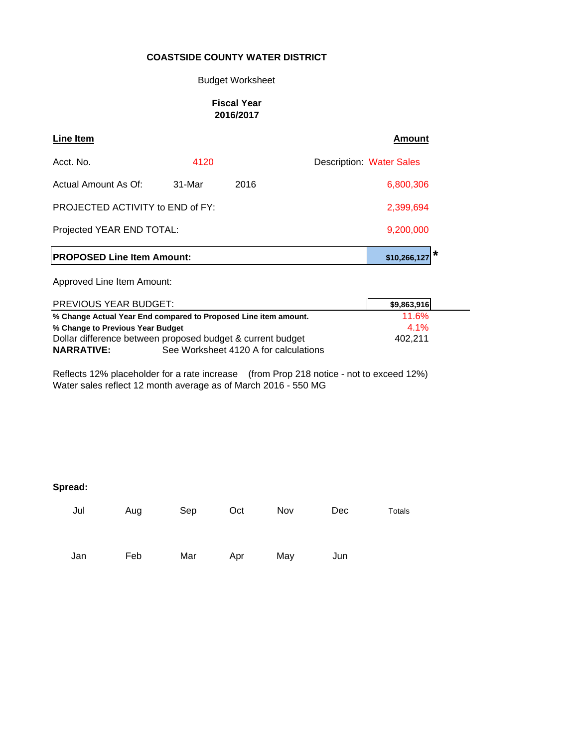#### Budget Worksheet

#### **Fiscal Year 2016/2017**

| Line Item                               |              |      | <b>Amount</b>                   |  |
|-----------------------------------------|--------------|------|---------------------------------|--|
| Acct. No.                               | 4120         |      | <b>Description: Water Sales</b> |  |
| Actual Amount As Of:                    | $31-Mar$     | 2016 | 6,800,306                       |  |
| <b>PROJECTED ACTIVITY to END of FY:</b> |              |      | 2,399,694                       |  |
| Projected YEAR END TOTAL:               |              |      | 9,200,000                       |  |
| <b>PROPOSED Line Item Amount:</b>       | \$10,266,127 |      |                                 |  |

Approved Line Item Amount:

| <b>PREVIOUS YEAR BUDGET:</b>                               |                                                                 | \$9,863,916 |
|------------------------------------------------------------|-----------------------------------------------------------------|-------------|
|                                                            | % Change Actual Year End compared to Proposed Line item amount. | 11.6%       |
| % Change to Previous Year Budget                           | 4.1%                                                            |             |
| Dollar difference between proposed budget & current budget |                                                                 | 402.211     |
| <b>NARRATIVE:</b>                                          | See Worksheet 4120 A for calculations                           |             |

Reflects 12% placeholder for a rate increase (from Prop 218 notice - not to exceed 12%) Water sales reflect 12 month average as of March 2016 - 550 MG

| Jul | Aug | Sep | Oct | Nov | Dec | Totals |
|-----|-----|-----|-----|-----|-----|--------|
| Jan | Feb | Mar | Apr | May | Jun |        |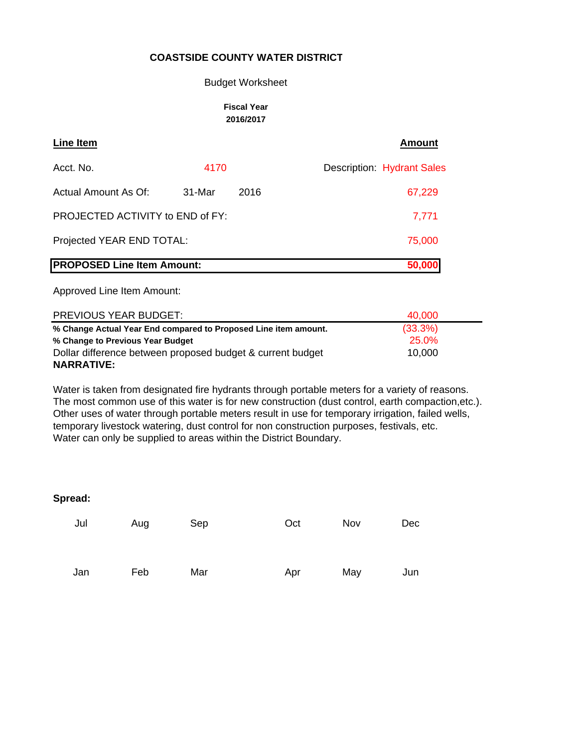#### Budget Worksheet

#### **Fiscal Year 2016/2017**

| Line Item                               |        |      | <b>Amount</b>                     |
|-----------------------------------------|--------|------|-----------------------------------|
| Acct. No.                               | 4170   |      | <b>Description: Hydrant Sales</b> |
| Actual Amount As Of:                    | 31-Mar | 2016 | 67,229                            |
| <b>PROJECTED ACTIVITY to END of FY:</b> | 7,771  |      |                                   |
| Projected YEAR END TOTAL:               | 75,000 |      |                                   |
| <b>PROPOSED Line Item Amount:</b>       |        |      | 50,000                            |

Approved Line Item Amount:

| <b>PREVIOUS YEAR BUDGET:</b>                                    | 40,000     |  |
|-----------------------------------------------------------------|------------|--|
| % Change Actual Year End compared to Proposed Line item amount. | $(33.3\%)$ |  |
| % Change to Previous Year Budget                                | 25.0%      |  |
| Dollar difference between proposed budget & current budget      | 10,000     |  |
| <b>NARRATIVE:</b>                                               |            |  |

Water is taken from designated fire hydrants through portable meters for a variety of reasons. The most common use of this water is for new construction (dust control, earth compaction,etc.). Other uses of water through portable meters result in use for temporary irrigation, failed wells, temporary livestock watering, dust control for non construction purposes, festivals, etc. Water can only be supplied to areas within the District Boundary.

| Jul | Aug | Sep | Oct | Nov | Dec |
|-----|-----|-----|-----|-----|-----|
| Jan | Feb | Mar | Apr | May | Jun |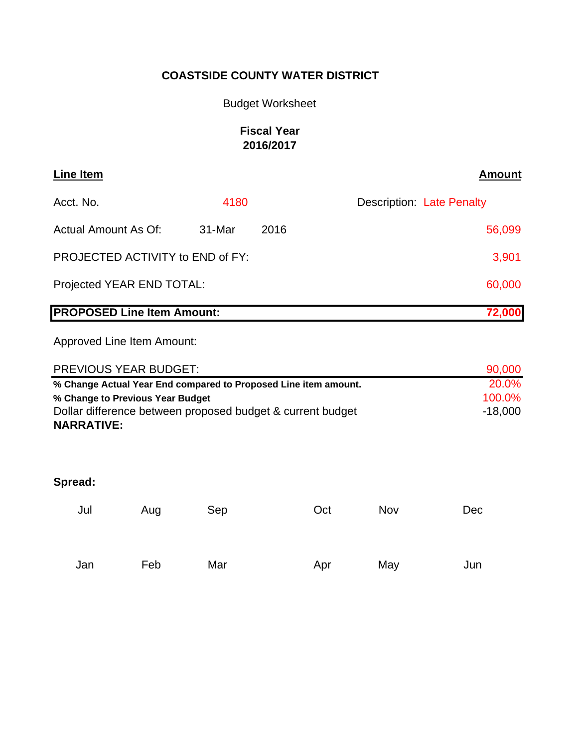# Budget Worksheet

# **Fiscal Year 2016/2017**

| Line Item                         |                            |        | <b>Amount</b>                    |  |  |  |
|-----------------------------------|----------------------------|--------|----------------------------------|--|--|--|
| Acct. No.                         | 4180                       |        | <b>Description: Late Penalty</b> |  |  |  |
| Actual Amount As Of:              | 31-Mar                     | 2016   | 56,099                           |  |  |  |
| PROJECTED ACTIVITY to END of FY:  |                            | 3,901  |                                  |  |  |  |
| Projected YEAR END TOTAL:         |                            | 60,000 |                                  |  |  |  |
| <b>PROPOSED Line Item Amount:</b> |                            | 72,000 |                                  |  |  |  |
|                                   | Approved Line Item Amount: |        |                                  |  |  |  |

| PREVIOUS YEAR BUDGET:                                           | 90,000    |
|-----------------------------------------------------------------|-----------|
| % Change Actual Year End compared to Proposed Line item amount. | 20.0%     |
| % Change to Previous Year Budget                                | 100.0%    |
| Dollar difference between proposed budget & current budget      | $-18.000$ |
| <b>NARRATIVE:</b>                                               |           |

| Jul | Aug | Sep | Oct | Nov | Dec |
|-----|-----|-----|-----|-----|-----|
| Jan | Feb | Mar | Apr | May | Jun |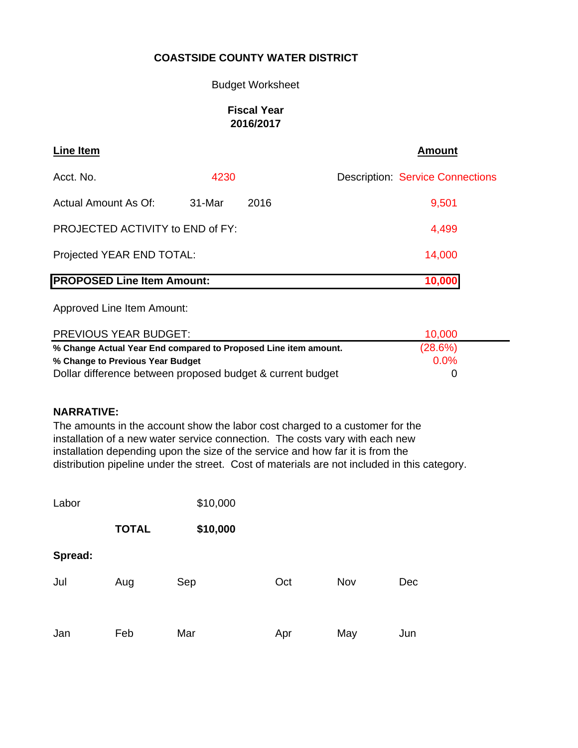## Budget Worksheet

### **Fiscal Year 2016/2017**

| <b>Line Item</b>                        |        |        | <b>Amount</b>                           |
|-----------------------------------------|--------|--------|-----------------------------------------|
| Acct. No.                               | 4230   |        | <b>Description: Service Connections</b> |
| Actual Amount As Of:                    | 31-Mar | 2016   | 9,501                                   |
| <b>PROJECTED ACTIVITY to END of FY:</b> |        |        | 4,499                                   |
| Projected YEAR END TOTAL:               |        |        | 14,000                                  |
| <b>PROPOSED Line Item Amount:</b>       |        | 10,000 |                                         |

Approved Line Item Amount:

| <b>PREVIOUS YEAR BUDGET:</b>                                    | 10.000  |  |
|-----------------------------------------------------------------|---------|--|
| % Change Actual Year End compared to Proposed Line item amount. | (28.6%) |  |
| % Change to Previous Year Budget                                | 0.0%    |  |
| Dollar difference between proposed budget & current budget      |         |  |

## **NARRATIVE:**

The amounts in the account show the labor cost charged to a customer for the installation of a new water service connection. The costs vary with each new installation depending upon the size of the service and how far it is from the distribution pipeline under the street. Cost of materials are not included in this category.

| Labor   |              | \$10,000 |     |     |     |
|---------|--------------|----------|-----|-----|-----|
|         | <b>TOTAL</b> | \$10,000 |     |     |     |
| Spread: |              |          |     |     |     |
| Jul     | Aug          | Sep      | Oct | Nov | Dec |
|         |              |          |     |     |     |
| Jan     | Feb          | Mar      | Apr | May | Jun |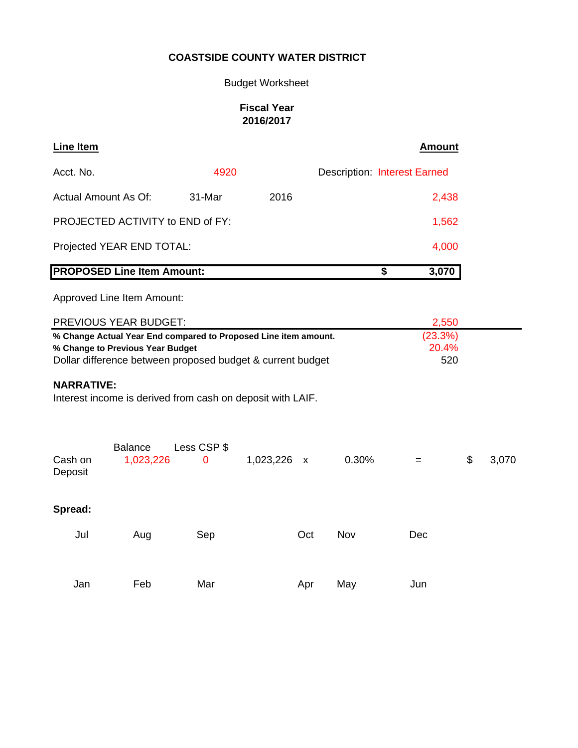Budget Worksheet

## **Fiscal Year 2016/2017**

| Line Item                                                                                                                                                         |                  |           |              |       | <b>Amount</b>                       |             |
|-------------------------------------------------------------------------------------------------------------------------------------------------------------------|------------------|-----------|--------------|-------|-------------------------------------|-------------|
| Acct. No.                                                                                                                                                         | 4920             |           |              |       | <b>Description: Interest Earned</b> |             |
| <b>Actual Amount As Of:</b>                                                                                                                                       | 31-Mar           | 2016      |              |       | 2,438                               |             |
| PROJECTED ACTIVITY to END of FY:                                                                                                                                  |                  |           |              |       | 1,562                               |             |
| Projected YEAR END TOTAL:                                                                                                                                         |                  |           |              |       | 4,000                               |             |
| <b>PROPOSED Line Item Amount:</b>                                                                                                                                 |                  |           |              | \$    | 3,070                               |             |
| Approved Line Item Amount:                                                                                                                                        |                  |           |              |       |                                     |             |
| PREVIOUS YEAR BUDGET:                                                                                                                                             |                  |           |              |       | 2,550                               |             |
| % Change Actual Year End compared to Proposed Line item amount.<br>% Change to Previous Year Budget<br>Dollar difference between proposed budget & current budget |                  |           |              |       | (23.3%)<br>20.4%<br>520             |             |
| <b>NARRATIVE:</b><br>Interest income is derived from cash on deposit with LAIF.                                                                                   |                  |           |              |       |                                     |             |
| <b>Balance</b><br>Cash on<br>1,023,226<br>Deposit                                                                                                                 | Less CSP \$<br>0 | 1,023,226 | $\mathsf{X}$ | 0.30% | $=$                                 | \$<br>3,070 |
| Spread:                                                                                                                                                           |                  |           |              |       |                                     |             |
| Jul<br>Aug                                                                                                                                                        | Sep              |           | Oct          | Nov   | Dec                                 |             |
| Feb<br>Jan                                                                                                                                                        | Mar              |           | Apr          | May   | Jun                                 |             |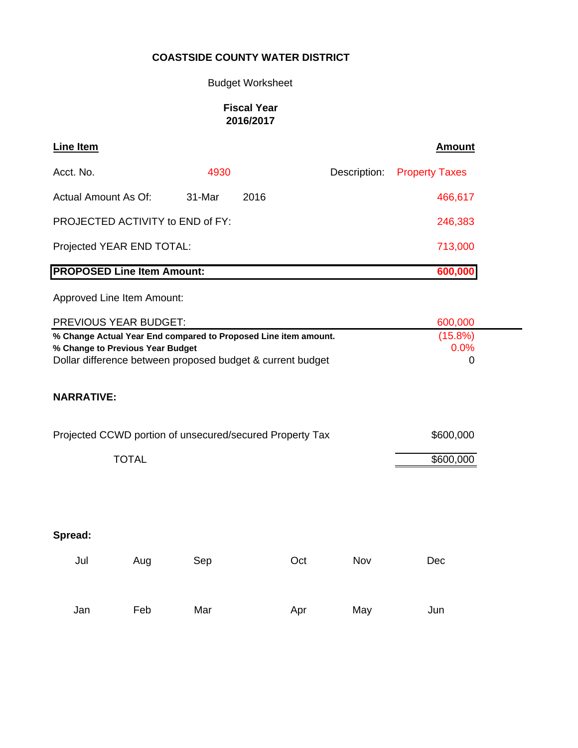# Budget Worksheet

## **Fiscal Year 2016/2017**

| <b>Line Item</b>                                                                                                                                                  |              |        |      |     |              | <b>Amount</b>                  |
|-------------------------------------------------------------------------------------------------------------------------------------------------------------------|--------------|--------|------|-----|--------------|--------------------------------|
| Acct. No.                                                                                                                                                         |              | 4930   |      |     | Description: | <b>Property Taxes</b>          |
| <b>Actual Amount As Of:</b>                                                                                                                                       |              | 31-Mar | 2016 |     |              | 466,617                        |
| PROJECTED ACTIVITY to END of FY:                                                                                                                                  |              |        |      |     |              | 246,383                        |
| Projected YEAR END TOTAL:                                                                                                                                         |              |        |      |     |              | 713,000                        |
| <b>PROPOSED Line Item Amount:</b>                                                                                                                                 |              |        |      |     |              | 600,000                        |
| Approved Line Item Amount:                                                                                                                                        |              |        |      |     |              |                                |
| PREVIOUS YEAR BUDGET:                                                                                                                                             |              |        |      |     |              | 600,000                        |
| % Change Actual Year End compared to Proposed Line item amount.<br>% Change to Previous Year Budget<br>Dollar difference between proposed budget & current budget |              |        |      |     |              | (15.8%)<br>0.0%<br>$\mathbf 0$ |
| <b>NARRATIVE:</b>                                                                                                                                                 |              |        |      |     |              |                                |
| Projected CCWD portion of unsecured/secured Property Tax                                                                                                          |              |        |      |     |              | \$600,000                      |
|                                                                                                                                                                   | <b>TOTAL</b> |        |      |     |              | \$600,000                      |
|                                                                                                                                                                   |              |        |      |     |              |                                |
| Spread:                                                                                                                                                           |              |        |      |     |              |                                |
| Jul                                                                                                                                                               | Aug          | Sep    |      | Oct | Nov          | Dec                            |
| Jan                                                                                                                                                               | Feb          | Mar    |      | Apr | May          | Jun                            |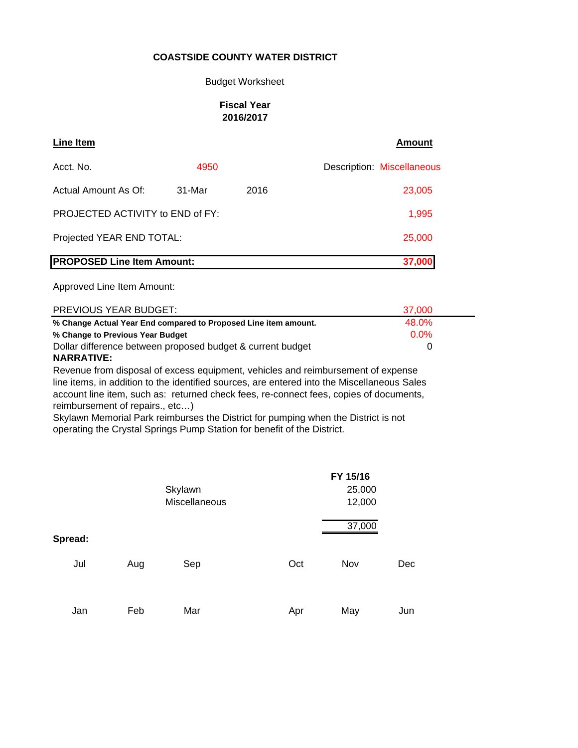#### Budget Worksheet

#### **Fiscal Year 2016/2017**

| Line Item                               |        |      | <b>Amount</b>              |
|-----------------------------------------|--------|------|----------------------------|
| Acct. No.                               | 4950   |      | Description: Miscellaneous |
| Actual Amount As Of:                    | 31-Mar | 2016 | 23,005                     |
| <b>PROJECTED ACTIVITY to END of FY:</b> | 1,995  |      |                            |
| Projected YEAR END TOTAL:               | 25,000 |      |                            |
| <b>PROPOSED Line Item Amount:</b>       |        |      | 37,000                     |

Approved Line Item Amount:

| PREVIOUS YEAR BUDGET:                                           | 37,000  |  |
|-----------------------------------------------------------------|---------|--|
| % Change Actual Year End compared to Proposed Line item amount. | 48.0%   |  |
| % Change to Previous Year Budget                                | $0.0\%$ |  |
| Dollar difference between proposed budget & current budget      |         |  |
| NADDATIVE.                                                      |         |  |

#### **NARRATIVE:**

Revenue from disposal of excess equipment, vehicles and reimbursement of expense line items, in addition to the identified sources, are entered into the Miscellaneous Sales account line item, such as: returned check fees, re-connect fees, copies of documents, reimbursement of repairs., etc…)

Skylawn Memorial Park reimburses the District for pumping when the District is not operating the Crystal Springs Pump Station for benefit of the District.

|         |     |               |     | FY 15/16 |     |
|---------|-----|---------------|-----|----------|-----|
|         |     | Skylawn       |     | 25,000   |     |
|         |     | Miscellaneous |     | 12,000   |     |
|         |     |               |     | 37,000   |     |
| Spread: |     |               |     |          |     |
| Jul     | Aug | Sep           | Oct | Nov      | Dec |
| Jan     | Feb | Mar           | Apr | May      | Jun |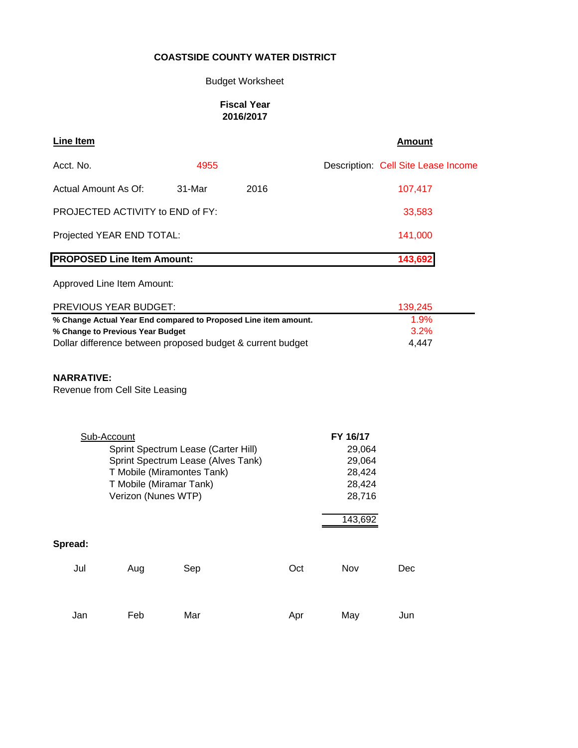## Budget Worksheet

#### **Fiscal Year 2016/2017**

| Line Item                                                                               |                     |                                                                                                                                    |                                                            | <b>Amount</b>                                                         |                                     |  |
|-----------------------------------------------------------------------------------------|---------------------|------------------------------------------------------------------------------------------------------------------------------------|------------------------------------------------------------|-----------------------------------------------------------------------|-------------------------------------|--|
| Acct. No.                                                                               |                     | 4955                                                                                                                               |                                                            |                                                                       | Description: Cell Site Lease Income |  |
| Actual Amount As Of:                                                                    |                     | 31-Mar                                                                                                                             | 2016                                                       |                                                                       | 107,417                             |  |
| PROJECTED ACTIVITY to END of FY:                                                        |                     |                                                                                                                                    |                                                            | 33,583                                                                |                                     |  |
| Projected YEAR END TOTAL:                                                               |                     |                                                                                                                                    |                                                            |                                                                       | 141,000                             |  |
| <b>PROPOSED Line Item Amount:</b>                                                       |                     |                                                                                                                                    |                                                            | 143,692                                                               |                                     |  |
| Approved Line Item Amount:                                                              |                     |                                                                                                                                    |                                                            |                                                                       |                                     |  |
| PREVIOUS YEAR BUDGET:                                                                   |                     |                                                                                                                                    |                                                            |                                                                       | 139,245                             |  |
| % Change to Previous Year Budget<br><b>NARRATIVE:</b><br>Revenue from Cell Site Leasing |                     |                                                                                                                                    | Dollar difference between proposed budget & current budget |                                                                       | 3.2%<br>4,447                       |  |
| Sub-Account                                                                             | Verizon (Nunes WTP) | Sprint Spectrum Lease (Carter Hill)<br>Sprint Spectrum Lease (Alves Tank)<br>T Mobile (Miramontes Tank)<br>T Mobile (Miramar Tank) |                                                            | FY 16/17<br>29,064<br>29,064<br>28,424<br>28,424<br>28,716<br>143,692 |                                     |  |
| Spread:                                                                                 |                     |                                                                                                                                    |                                                            |                                                                       |                                     |  |
| Jul                                                                                     | Aug                 | Sep                                                                                                                                | Oct                                                        | Nov                                                                   | Dec                                 |  |
| Jan                                                                                     | Feb                 | Mar                                                                                                                                | Apr                                                        | May                                                                   | Jun                                 |  |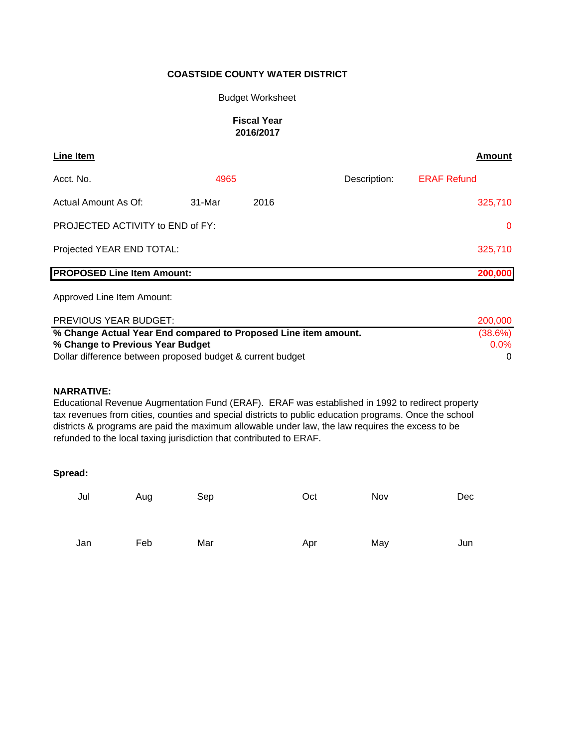#### Budget Worksheet

#### **Fiscal Year 2016/2017**

| Line Item                         |        |      |              | Amount             |
|-----------------------------------|--------|------|--------------|--------------------|
| Acct. No.                         | 4965   |      | Description: | <b>ERAF Refund</b> |
| Actual Amount As Of:              | 31-Mar | 2016 |              | 325,710            |
| PROJECTED ACTIVITY to END of FY:  |        |      | $\mathbf{0}$ |                    |
| Projected YEAR END TOTAL:         |        |      |              | 325,710            |
| <b>PROPOSED Line Item Amount:</b> |        |      |              | 200,000            |

Approved Line Item Amount:

| PREVIOUS YEAR BUDGET:                                           | 200,000    |
|-----------------------------------------------------------------|------------|
| % Change Actual Year End compared to Proposed Line item amount. | $(38.6\%)$ |
| % Change to Previous Year Budget                                | $0.0\%$    |
| Dollar difference between proposed budget & current budget      |            |

#### **NARRATIVE:**

Educational Revenue Augmentation Fund (ERAF). ERAF was established in 1992 to redirect property tax revenues from cities, counties and special districts to public education programs. Once the school districts & programs are paid the maximum allowable under law, the law requires the excess to be refunded to the local taxing jurisdiction that contributed to ERAF.

| Jul | Aug | Sep | Oct | Nov | Dec |
|-----|-----|-----|-----|-----|-----|
| Jan | Feb | Mar | Apr | May | Jun |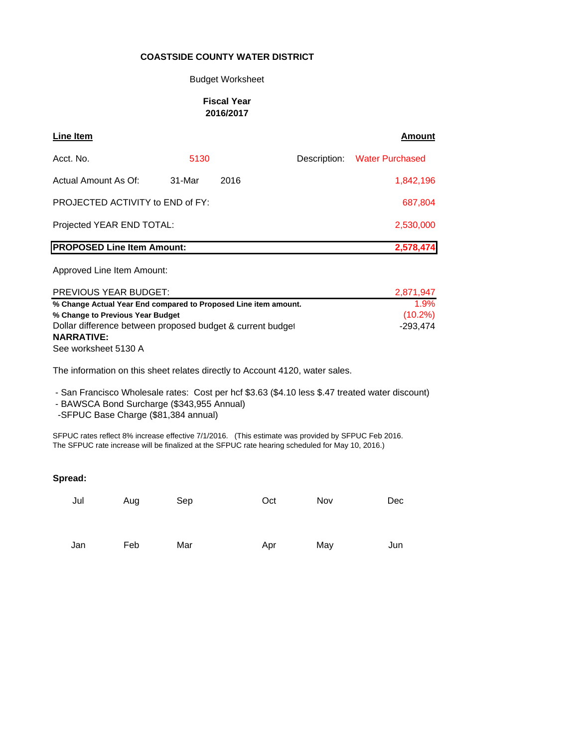#### Budget Worksheet

#### **Fiscal Year 2016/2017**

| Line Item                         |        |           |              | <b>Amount</b>          |
|-----------------------------------|--------|-----------|--------------|------------------------|
| Acct. No.                         | 5130   |           | Description: | <b>Water Purchased</b> |
| Actual Amount As Of:              | 31-Mar | 2016      |              | 1,842,196              |
| PROJECTED ACTIVITY to END of FY:  |        | 687,804   |              |                        |
| Projected YEAR END TOTAL:         |        | 2,530,000 |              |                        |
| <b>PROPOSED Line Item Amount:</b> |        |           |              | 2,578,474              |

#### Approved Line Item Amount:

| <b>PREVIOUS YEAR BUDGET:</b>                                    | 2,871,947  |
|-----------------------------------------------------------------|------------|
| % Change Actual Year End compared to Proposed Line item amount. | 1.9%       |
| % Change to Previous Year Budget                                | $(10.2\%)$ |
| Dollar difference between proposed budget & current budget      | -293.474   |
| <b>NARRATIVE:</b>                                               |            |
| See worksheet 5130 A                                            |            |

The information on this sheet relates directly to Account 4120, water sales.

- San Francisco Wholesale rates: Cost per hcf \$3.63 (\$4.10 less \$.47 treated water discount)

- BAWSCA Bond Surcharge (\$343,955 Annual)

-SFPUC Base Charge (\$81,384 annual)

SFPUC rates reflect 8% increase effective 7/1/2016. (This estimate was provided by SFPUC Feb 2016. The SFPUC rate increase will be finalized at the SFPUC rate hearing scheduled for May 10, 2016.)

| Jul | Aug | Sep | Oct | Nov | Dec |
|-----|-----|-----|-----|-----|-----|
| Jan | Feb | Mar | Apr | May | Jun |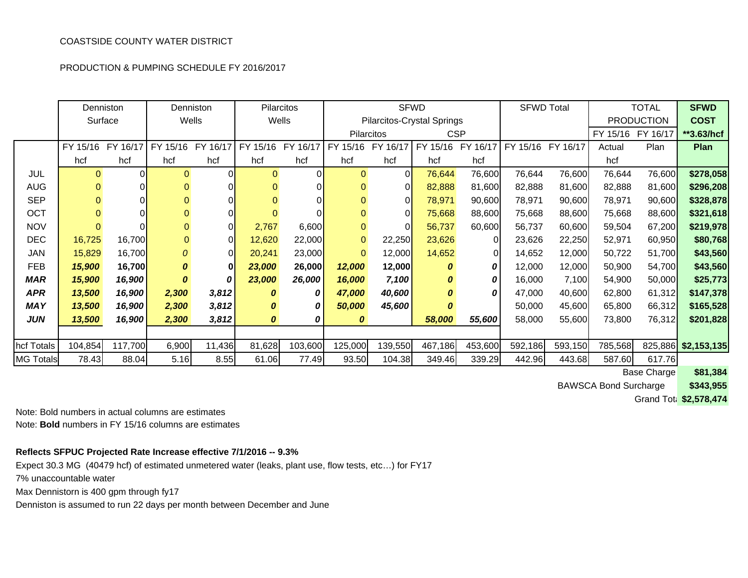PRODUCTION & PUMPING SCHEDULE FY 2016/2017

|                  | Denniston    |          |              | Denniston    | <b>Pilarcitos</b> |          |                   |                    | <b>SFWD</b>                |            | <b>SFWD Total</b>          |         |                   | <b>TOTAL</b>      | <b>SFWD</b>         |
|------------------|--------------|----------|--------------|--------------|-------------------|----------|-------------------|--------------------|----------------------------|------------|----------------------------|---------|-------------------|-------------------|---------------------|
|                  | Surface      |          |              | Wells        | Wells             |          |                   |                    | Pilarcitos-Crystal Springs |            |                            |         |                   | <b>PRODUCTION</b> | <b>COST</b>         |
|                  |              |          |              |              |                   |          | <b>Pilarcitos</b> |                    |                            | <b>CSP</b> |                            |         | FY 15/16 FY 16/17 |                   | **3.63/hcf          |
|                  | FY 15/16     | FY 16/17 | FY 15/16     | FY 16/17     | FY 15/16          | FY 16/17 | FY 15/16          | 16/17<br><b>FY</b> | FY 15/16                   |            | FY 16/17 FY 15/16 FY 16/17 |         | Actual            | Plan              | Plan                |
|                  | hcf          | hcf      | hcf          | hcf          | hcf               | hcf      | hcf               | hcf                | hcf                        | hcf        |                            |         | hcf               |                   |                     |
| <b>JUL</b>       | $\Omega$     |          | 0            | 0            | $\Omega$          |          | $\Omega$          | 0                  | 76,644                     | 76,600     | 76,644                     | 76,600  | 76,644            | 76,600            | \$278,058           |
| <b>AUG</b>       | $\mathbf{0}$ |          |              |              |                   |          | $\Omega$          | 0                  | 82,888                     | 81,600     | 82,888                     | 81,600  | 82,888            | 81,600            | \$296,208           |
| <b>SEP</b>       | $\Omega$     |          | 0            | 0            |                   |          | 0                 | 0                  | 78,971                     | 90,600     | 78,971                     | 90,600  | 78,971            | 90,600            | \$328,878           |
| OCT              |              |          | 0            | 0            |                   |          | 0                 | 0                  | 75,668                     | 88,600     | 75,668                     | 88,600  | 75,668            | 88,600            | \$321,618           |
| <b>NOV</b>       | $\Omega$     |          | $\mathbf{0}$ | 0            | 2,767             | 6,600    | $\mathbf 0$       | 0                  | 56,737                     | 60,600     | 56,737                     | 60,600  | 59,504            | 67,200            | \$219,978           |
| <b>DEC</b>       | 16,725       | 16,700   | 0            | $\Omega$     | 12,620            | 22,000   | $\mathbf{0}$      | 22,250             | 23,626                     | $\Omega$   | 23,626                     | 22,250  | 52,971            | 60,950            | \$80,768            |
| JAN              | 15,829       | 16,700   | 0            | $\Omega$     | 20,241            | 23,000   | $\Omega$          | 12,000             | 14,652                     | 0          | 14,652                     | 12,000  | 50,722            | 51,700            | \$43,560            |
| <b>FEB</b>       | 15,900       | 16,700   | 0            | $\mathbf{0}$ | 23,000            | 26,000   | 12,000            | 12,000             | 0                          | 0          | 12,000                     | 12,000  | 50,900            | 54,700            | \$43,560            |
| <b>MAR</b>       | 15,900       | 16,900   | 0            | 0            | 23,000            | 26,000   | 16,000            | 7,100              | 0                          | 0          | 16,000                     | 7,100   | 54,900            | 50,000            | \$25,773            |
| <b>APR</b>       | 13,500       | 16,900   | 2,300        | 3,812        | 0                 |          | 47,000            | 40,600             | 0                          | 0          | 47,000                     | 40,600  | 62,800            | 61,312            | \$147,378           |
| <b>MAY</b>       | 13,500       | 16,900   | 2,300        | 3,812        | 0                 |          | 50,000            | 45,600             | 0                          |            | 50,000                     | 45,600  | 65,800            | 66,312            | \$165,528           |
| <b>JUN</b>       | 13,500       | 16,900   | 2,300        | 3,812        | 0                 | 0        | 0                 |                    | 58,000                     | 55,600     | 58,000                     | 55,600  | 73,800            | 76,312            | \$201,828           |
|                  |              |          |              |              |                   |          |                   |                    |                            |            |                            |         |                   |                   |                     |
| hcf Totals       | 104,854      | 117,700  | 6,900        | 11,436       | 81,628            | 103,600  | 125,000           | 139,550            | 467,186                    | 453,600    | 592,186                    | 593,150 | 785,568           |                   | 825,886 \$2,153,135 |
| <b>MG Totals</b> | 78.43        | 88.04    | 5.16         | 8.55         | 61.06             | 77.49    | 93.50             | 104.38             | 349.46                     | 339.29     | 442.96                     | 443.68  | 587.60            | 617.76            |                     |

**\$81,384 Base Charge** 

**\$343,955** BAWSCA Bond Surcharge

Grand Tota **\$2,578,474**

Note: Bold numbers in actual columns are estimates

Note: **Bold** numbers in FY 15/16 columns are estimates

#### **Reflects SFPUC Projected Rate Increase effective 7/1/2016 -- 9.3%**

Expect 30.3 MG (40479 hcf) of estimated unmetered water (leaks, plant use, flow tests, etc…) for FY17 7% unaccountable water

Max Dennistorn is 400 gpm through fy17

Denniston is assumed to run 22 days per month between December and June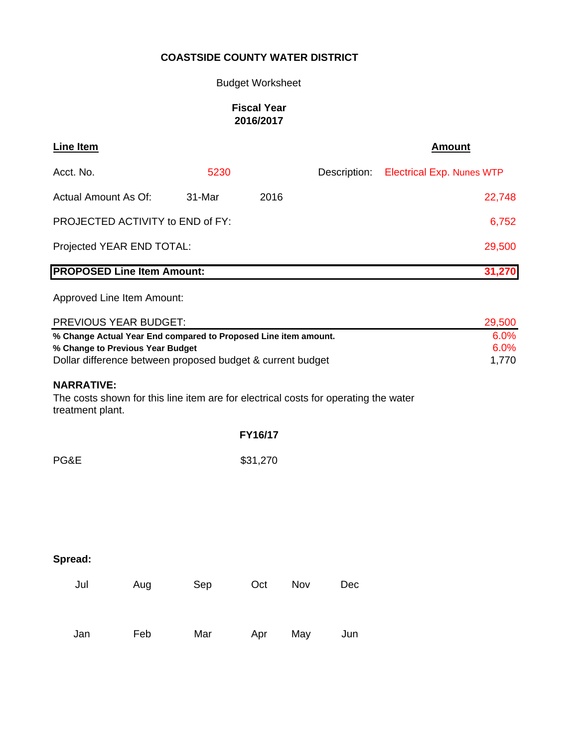# Budget Worksheet

# **Fiscal Year 2016/2017**

| <b>Line Item</b>                                                                                                             |     |        |          |     |              | <b>Amount</b>                    |
|------------------------------------------------------------------------------------------------------------------------------|-----|--------|----------|-----|--------------|----------------------------------|
| Acct. No.                                                                                                                    |     | 5230   |          |     | Description: | <b>Electrical Exp. Nunes WTP</b> |
| <b>Actual Amount As Of:</b>                                                                                                  |     | 31-Mar | 2016     |     |              | 22,748                           |
| PROJECTED ACTIVITY to END of FY:                                                                                             |     |        |          |     |              | 6,752                            |
| Projected YEAR END TOTAL:                                                                                                    |     |        |          |     |              | 29,500                           |
| <b>PROPOSED Line Item Amount:</b>                                                                                            |     |        |          |     |              | 31,270                           |
| Approved Line Item Amount:                                                                                                   |     |        |          |     |              |                                  |
| PREVIOUS YEAR BUDGET:                                                                                                        |     |        |          |     |              | 29,500                           |
| % Change Actual Year End compared to Proposed Line item amount.                                                              |     |        |          |     |              | 6.0%                             |
| % Change to Previous Year Budget                                                                                             |     |        |          |     |              | 6.0%                             |
| Dollar difference between proposed budget & current budget                                                                   |     |        |          |     |              | 1,770                            |
| <b>NARRATIVE:</b><br>The costs shown for this line item are for electrical costs for operating the water<br>treatment plant. |     |        |          |     |              |                                  |
|                                                                                                                              |     |        | FY16/17  |     |              |                                  |
| PG&E                                                                                                                         |     |        | \$31,270 |     |              |                                  |
|                                                                                                                              |     |        |          |     |              |                                  |
|                                                                                                                              |     |        |          |     |              |                                  |
|                                                                                                                              |     |        |          |     |              |                                  |
| Spread:                                                                                                                      |     |        |          |     |              |                                  |
| Jul                                                                                                                          | Aug | Sep    | Oct      | Nov | Dec          |                                  |
| Jan                                                                                                                          | Feb | Mar    | Apr      | May | Jun          |                                  |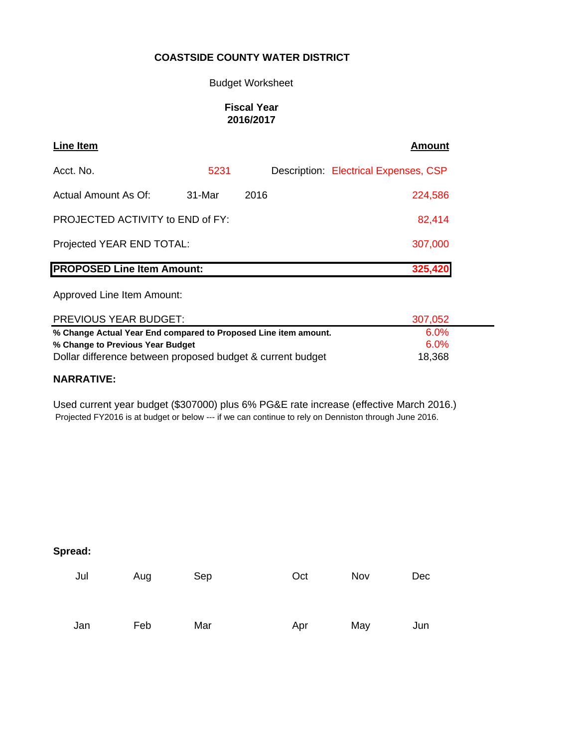#### Budget Worksheet

## **Fiscal Year 2016/2017**

| Line Item                         |        |      | Amount                                |
|-----------------------------------|--------|------|---------------------------------------|
| Acct. No.                         | 5231   |      | Description: Electrical Expenses, CSP |
| Actual Amount As Of:              | 31-Mar | 2016 | 224,586                               |
| PROJECTED ACTIVITY to END of FY:  |        |      | 82,414                                |
| Projected YEAR END TOTAL:         |        |      | 307,000                               |
| <b>PROPOSED Line Item Amount:</b> |        |      | 325,420                               |

Approved Line Item Amount:

| PREVIOUS YEAR BUDGET:                                           | 307,052 |  |
|-----------------------------------------------------------------|---------|--|
| % Change Actual Year End compared to Proposed Line item amount. | 6.0%    |  |
| % Change to Previous Year Budget                                | 6.0%    |  |
| Dollar difference between proposed budget & current budget      | 18,368  |  |

#### **NARRATIVE:**

Used current year budget (\$307000) plus 6% PG&E rate increase (effective March 2016.) Projected FY2016 is at budget or below --- if we can continue to rely on Denniston through June 2016.

|  | Spread |  |
|--|--------|--|
|--|--------|--|

| Jul | Aug | Sep | Oct | Nov | <b>Dec</b> |
|-----|-----|-----|-----|-----|------------|
| Jan | Feb | Mar | Apr | May | Jun        |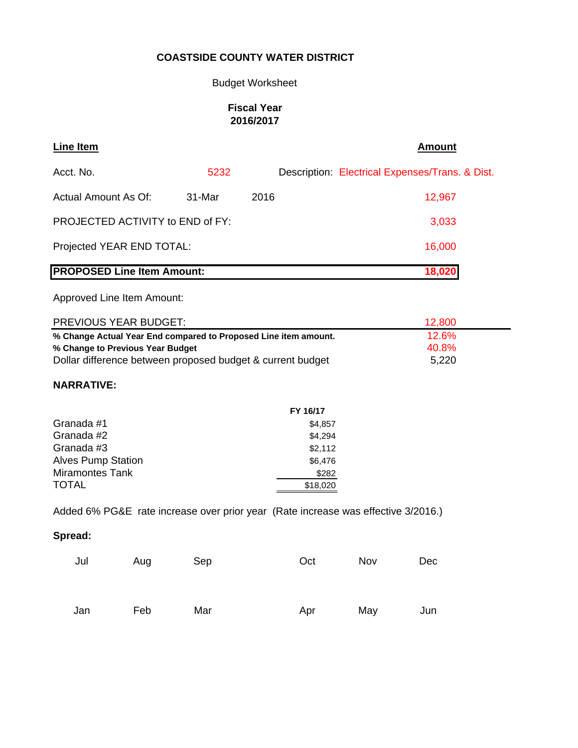## Budget Worksheet

## **Fiscal Year 2016/2017**

| Line Item                         |        |      | <b>Amount</b>                                   |
|-----------------------------------|--------|------|-------------------------------------------------|
| Acct. No.                         | 5232   |      | Description: Electrical Expenses/Trans. & Dist. |
| <b>Actual Amount As Of:</b>       | 31-Mar | 2016 | 12,967                                          |
| PROJECTED ACTIVITY to END of FY:  |        |      | 3,033                                           |
| Projected YEAR END TOTAL:         |        |      | 16,000                                          |
| <b>PROPOSED Line Item Amount:</b> |        |      | 18,020                                          |

Approved Line Item Amount:

| <b>PREVIOUS YEAR BUDGET:</b>                                    | 12.800 |
|-----------------------------------------------------------------|--------|
| % Change Actual Year End compared to Proposed Line item amount. | 12.6%  |
| % Change to Previous Year Budget                                | 40.8%  |
| Dollar difference between proposed budget & current budget      | 5,220  |

## **NARRATIVE:**

|                           | FY 16/17 |
|---------------------------|----------|
| Granada #1                | \$4,857  |
| Granada #2                | \$4.294  |
| Granada #3                | \$2,112  |
| <b>Alves Pump Station</b> | \$6,476  |
| <b>Miramontes Tank</b>    | \$282    |
| <b>TOTAL</b>              | \$18,020 |

Added 6% PG&E rate increase over prior year (Rate increase was effective 3/2016.)

| Jul | Aug | Sep | Oct | Nov | Dec |
|-----|-----|-----|-----|-----|-----|
| Jan | Feb | Mar | Apr | May | Jun |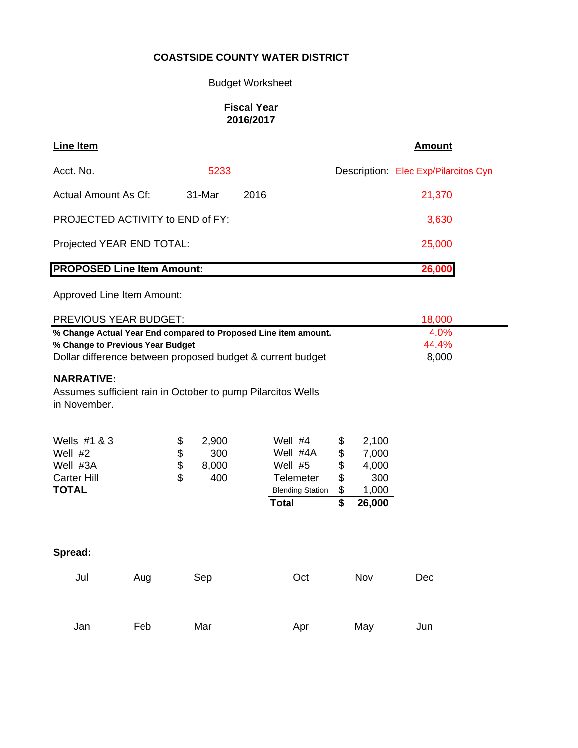# Budget Worksheet

## **Fiscal Year 2016/2017**

| Line Item                         |        |      | <b>Amount</b>                        |
|-----------------------------------|--------|------|--------------------------------------|
| Acct. No.                         | 5233   |      | Description: Elec Exp/Pilarcitos Cyn |
| Actual Amount As Of:              | 31-Mar | 2016 | 21,370                               |
| PROJECTED ACTIVITY to END of FY:  |        |      | 3,630                                |
| Projected YEAR END TOTAL:         |        |      | 25,000                               |
| <b>PROPOSED Line Item Amount:</b> |        |      | 26,000                               |

Approved Line Item Amount:

| PREVIOUS YEAR BUDGET:                                                                                                                                             |     |                      |                                                             |                                                                                                 | 18,000                           |                                                   |     |
|-------------------------------------------------------------------------------------------------------------------------------------------------------------------|-----|----------------------|-------------------------------------------------------------|-------------------------------------------------------------------------------------------------|----------------------------------|---------------------------------------------------|-----|
| % Change Actual Year End compared to Proposed Line item amount.<br>% Change to Previous Year Budget<br>Dollar difference between proposed budget & current budget |     |                      |                                                             |                                                                                                 |                                  | 4.0%<br>44.4%<br>8,000                            |     |
| <b>NARRATIVE:</b><br>in November.                                                                                                                                 |     |                      | Assumes sufficient rain in October to pump Pilarcitos Wells |                                                                                                 |                                  |                                                   |     |
| Wells #1 & 3<br>Well $#2$<br>Well #3A<br><b>Carter Hill</b><br><b>TOTAL</b>                                                                                       |     | \$<br>\$<br>\$<br>\$ | 2,900<br>300<br>8,000<br>400                                | Well #4<br>Well #4A<br>Well $#5$<br><b>Telemeter</b><br><b>Blending Station</b><br><b>Total</b> | \$<br>\$<br>\$<br>\$<br>\$<br>\$ | 2,100<br>7,000<br>4,000<br>300<br>1,000<br>26,000 |     |
| Spread:                                                                                                                                                           |     |                      |                                                             |                                                                                                 |                                  |                                                   |     |
| Jul                                                                                                                                                               | Aug |                      | Sep                                                         | Oct                                                                                             |                                  | Nov                                               | Dec |
| Jan                                                                                                                                                               | Feb |                      | Mar                                                         | Apr                                                                                             |                                  | May                                               | Jun |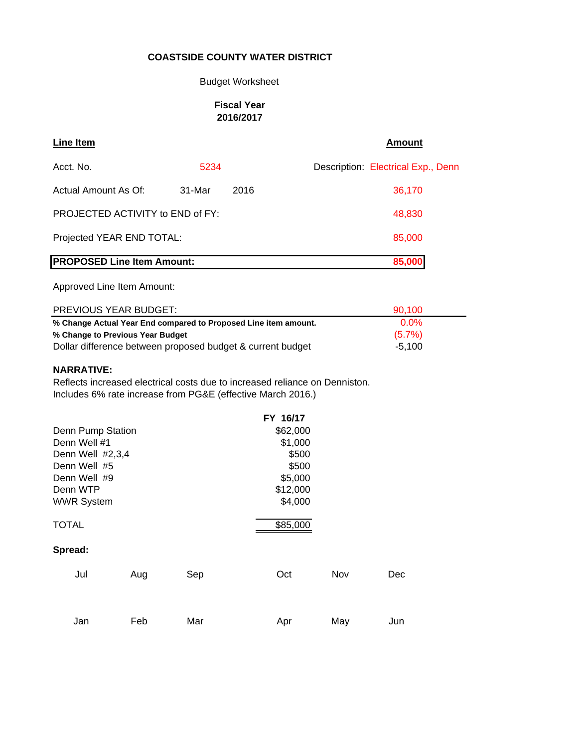#### Budget Worksheet

#### **Fiscal Year 2016/2017**

| Line Item                               |        |      | <b>Amount</b>                      |
|-----------------------------------------|--------|------|------------------------------------|
| Acct. No.                               | 5234   |      | Description: Electrical Exp., Denn |
| Actual Amount As Of:                    | 31-Mar | 2016 | 36,170                             |
| <b>PROJECTED ACTIVITY to END of FY:</b> |        |      | 48,830                             |
| Projected YEAR END TOTAL:               |        |      | 85,000                             |
| <b>PROPOSED Line Item Amount:</b>       |        |      | 85,000                             |

Approved Line Item Amount:

| PREVIOUS YEAR BUDGET:                                           | 90.100    |  |
|-----------------------------------------------------------------|-----------|--|
| % Change Actual Year End compared to Proposed Line item amount. | $0.0\%$   |  |
| % Change to Previous Year Budget                                | $(5.7\%)$ |  |
| Dollar difference between proposed budget & current budget      | $-5.100$  |  |

#### **NARRATIVE:**

Reflects increased electrical costs due to increased reliance on Denniston. Includes 6% rate increase from PG&E (effective March 2016.)

| FY 16/17 |     |     |
|----------|-----|-----|
| \$62,000 |     |     |
| \$1,000  |     |     |
| \$500    |     |     |
| \$500    |     |     |
| \$5,000  |     |     |
| \$12,000 |     |     |
| \$4,000  |     |     |
| \$85,000 |     |     |
|          |     |     |
| Oct      | Nov | Dec |
|          |     |     |
| Apr      | May | Jun |
|          |     |     |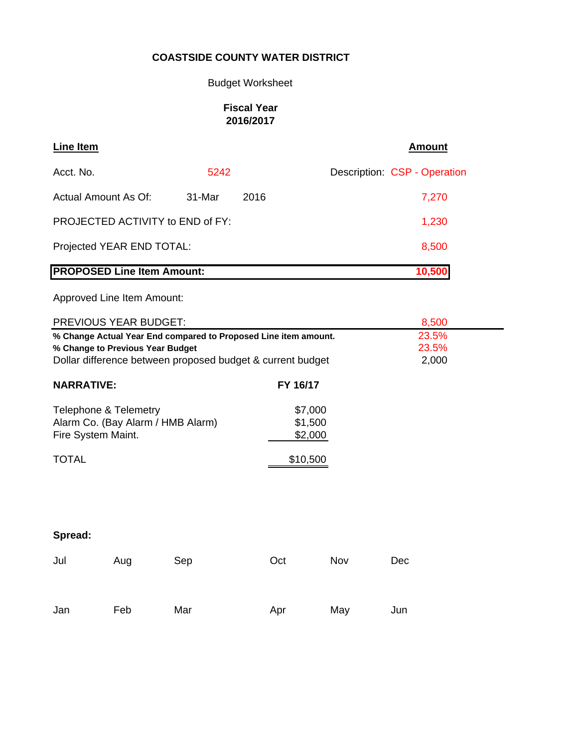# Budget Worksheet

## **Fiscal Year 2016/2017**

| Line Item                         |        |      | Amount                       |
|-----------------------------------|--------|------|------------------------------|
| Acct. No.                         | 5242   |      | Description: CSP - Operation |
| Actual Amount As Of:              | 31-Mar | 2016 | 7,270                        |
| PROJECTED ACTIVITY to END of FY:  |        |      | 1,230                        |
| Projected YEAR END TOTAL:         |        |      | 8,500                        |
| <b>PROPOSED Line Item Amount:</b> |        |      | 10,500                       |

Approved Line Item Amount:

| PREVIOUS YEAR BUDGET:                                                                                                                                             |                               | 8,500 |
|-------------------------------------------------------------------------------------------------------------------------------------------------------------------|-------------------------------|-------|
| % Change Actual Year End compared to Proposed Line item amount.<br>% Change to Previous Year Budget<br>Dollar difference between proposed budget & current budget | 23.5%<br>23.5%<br>2,000       |       |
| <b>NARRATIVE:</b>                                                                                                                                                 | FY 16/17                      |       |
| Telephone & Telemetry<br>Alarm Co. (Bay Alarm / HMB Alarm)<br>Fire System Maint.                                                                                  | \$7,000<br>\$1,500<br>\$2,000 |       |
| TOTAL                                                                                                                                                             | \$10,500                      |       |
|                                                                                                                                                                   |                               |       |
|                                                                                                                                                                   |                               |       |
|                                                                                                                                                                   |                               |       |

| pread<br>۔ ا |  |
|--------------|--|
|--------------|--|

| Jul | Aug | Sep | Oct | Nov | <b>Dec</b> |
|-----|-----|-----|-----|-----|------------|
| Jan | Feb | Mar | Apr | May | Jun        |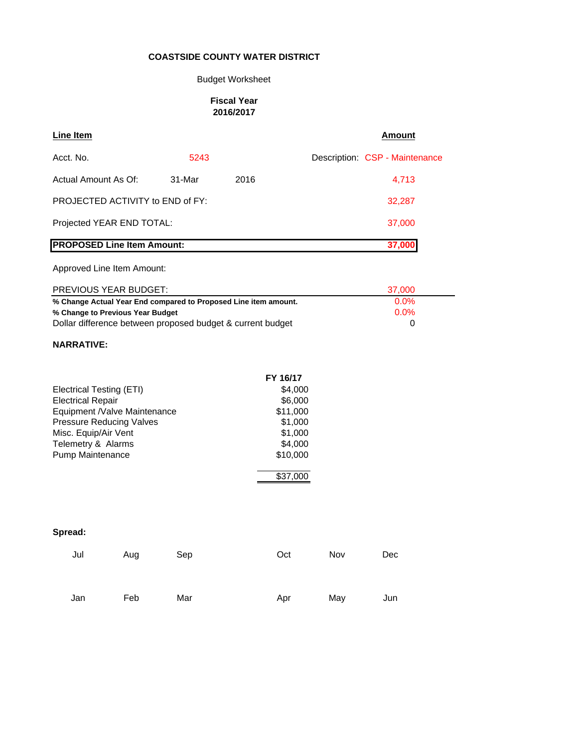## Budget Worksheet

#### **Fiscal Year 2016/2017**

| Line Item                         |          |      | Amount                         |
|-----------------------------------|----------|------|--------------------------------|
| Acct. No.                         | 5243     |      | Description: CSP - Maintenance |
| Actual Amount As Of:              | $31-Mar$ | 2016 | 4,713                          |
| PROJECTED ACTIVITY to END of FY:  |          |      | 32,287                         |
| Projected YEAR END TOTAL:         |          |      | 37,000                         |
| <b>PROPOSED Line Item Amount:</b> |          |      | 37,000                         |
| Approved Line Item Amount:        |          |      |                                |

| <b>PREVIOUS YEAR BUDGET:</b>                                    | 37.000  |
|-----------------------------------------------------------------|---------|
| % Change Actual Year End compared to Proposed Line item amount. | $0.0\%$ |
| % Change to Previous Year Budget                                | $0.0\%$ |
| Dollar difference between proposed budget & current budget      |         |

#### **NARRATIVE:**

|                                 | FY 16/17 |
|---------------------------------|----------|
| Electrical Testing (ETI)        | \$4,000  |
| <b>Electrical Repair</b>        | \$6,000  |
| Equipment /Valve Maintenance    | \$11,000 |
| <b>Pressure Reducing Valves</b> | \$1,000  |
| Misc. Equip/Air Vent            | \$1,000  |
| Telemetry & Alarms              | \$4,000  |
| Pump Maintenance                | \$10,000 |
|                                 | \$37,000 |

| Jul | Aug | Sep | Oct | Nov | Dec |
|-----|-----|-----|-----|-----|-----|
| Jan | Feb | Mar | Apr | May | Jun |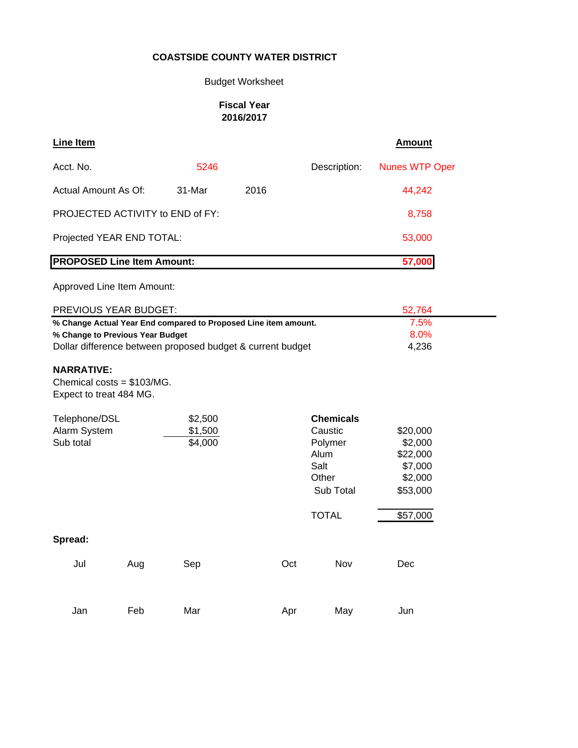## Budget Worksheet

## **Fiscal Year 2016/2017**

| <b>Line Item</b>                                                             |     |         |                                                                 |                  | <b>Amount</b>         |
|------------------------------------------------------------------------------|-----|---------|-----------------------------------------------------------------|------------------|-----------------------|
| Acct. No.                                                                    |     | 5246    |                                                                 | Description:     | <b>Nunes WTP Oper</b> |
| <b>Actual Amount As Of:</b>                                                  |     | 31-Mar  | 2016                                                            |                  | 44,242                |
| PROJECTED ACTIVITY to END of FY:                                             |     |         |                                                                 |                  | 8,758                 |
| Projected YEAR END TOTAL:                                                    |     |         |                                                                 |                  | 53,000                |
| <b>PROPOSED Line Item Amount:</b>                                            |     |         |                                                                 |                  | 57,000                |
| Approved Line Item Amount:                                                   |     |         |                                                                 |                  |                       |
| PREVIOUS YEAR BUDGET:                                                        |     |         |                                                                 |                  | 52,764                |
|                                                                              |     |         | % Change Actual Year End compared to Proposed Line item amount. |                  | 7.5%                  |
| % Change to Previous Year Budget                                             |     |         |                                                                 |                  | 8.0%                  |
|                                                                              |     |         | Dollar difference between proposed budget & current budget      |                  | 4,236                 |
| <b>NARRATIVE:</b><br>Chemical costs = $$103/MG$ .<br>Expect to treat 484 MG. |     |         |                                                                 |                  |                       |
| Telephone/DSL                                                                |     | \$2,500 |                                                                 | <b>Chemicals</b> |                       |
| Alarm System                                                                 |     | \$1,500 |                                                                 | Caustic          | \$20,000              |
| Sub total                                                                    |     | \$4,000 |                                                                 | Polymer          | \$2,000               |
|                                                                              |     |         |                                                                 | Alum             | \$22,000              |
|                                                                              |     |         |                                                                 | Salt             | \$7,000               |
|                                                                              |     |         |                                                                 | Other            | \$2,000               |
|                                                                              |     |         |                                                                 | Sub Total        | \$53,000              |
|                                                                              |     |         |                                                                 | <b>TOTAL</b>     | \$57,000              |
| Spread:                                                                      |     |         |                                                                 |                  |                       |
| Jul                                                                          | Aug | Sep     | Oct                                                             | Nov              | Dec                   |
| Jan                                                                          | Feb | Mar     | Apr                                                             | May              | Jun                   |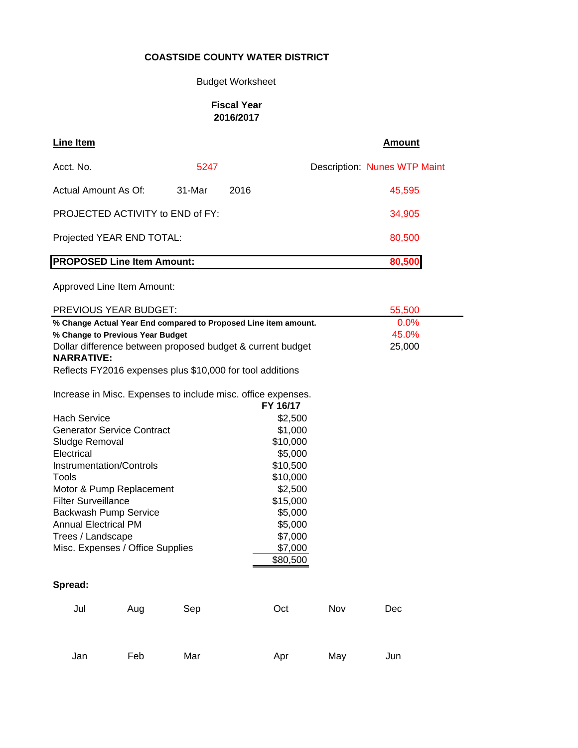## Budget Worksheet

## **Fiscal Year 2016/2017**

| <b>Line Item</b>                                                                                                                                                                                                                                    |        |                     | <b>Amount</b>                       |
|-----------------------------------------------------------------------------------------------------------------------------------------------------------------------------------------------------------------------------------------------------|--------|---------------------|-------------------------------------|
| Acct. No.                                                                                                                                                                                                                                           | 5247   |                     | <b>Description: Nunes WTP Maint</b> |
| Actual Amount As Of:                                                                                                                                                                                                                                | 31-Mar | 2016                | 45,595                              |
| PROJECTED ACTIVITY to END of FY:                                                                                                                                                                                                                    |        |                     | 34,905                              |
| Projected YEAR END TOTAL:                                                                                                                                                                                                                           |        |                     | 80,500                              |
| <b>PROPOSED Line Item Amount:</b>                                                                                                                                                                                                                   |        |                     | 80,500                              |
| Approved Line Item Amount:                                                                                                                                                                                                                          |        |                     |                                     |
| PREVIOUS YEAR BUDGET:                                                                                                                                                                                                                               |        |                     | 55,500                              |
| % Change Actual Year End compared to Proposed Line item amount.<br>% Change to Previous Year Budget<br>Dollar difference between proposed budget & current budget<br><b>NARRATIVE:</b><br>Reflects FY2016 expenses plus \$10,000 for tool additions |        |                     | $0.0\%$<br>45.0%<br>25,000          |
| Increase in Misc. Expenses to include misc. office expenses.                                                                                                                                                                                        |        | FY 16/17            |                                     |
| <b>Hach Service</b>                                                                                                                                                                                                                                 |        | \$2,500             |                                     |
| <b>Generator Service Contract</b>                                                                                                                                                                                                                   |        | \$1,000<br>\$10,000 |                                     |
| Sludge Removal<br>Electrical                                                                                                                                                                                                                        |        | \$5,000             |                                     |
| Instrumentation/Controls                                                                                                                                                                                                                            |        | \$10,500            |                                     |
| Tools                                                                                                                                                                                                                                               |        | \$10,000            |                                     |
| Motor & Pump Replacement                                                                                                                                                                                                                            |        | \$2,500             |                                     |
| <b>Filter Surveillance</b>                                                                                                                                                                                                                          |        | \$15,000            |                                     |
| Backwash Pump Service                                                                                                                                                                                                                               |        | \$5,000             |                                     |
| <b>Annual Electrical PM</b>                                                                                                                                                                                                                         |        | \$5,000             |                                     |
| Trees / Landscape                                                                                                                                                                                                                                   |        | \$7,000             |                                     |
| Misc. Expenses / Office Supplies                                                                                                                                                                                                                    |        | \$7,000             |                                     |
|                                                                                                                                                                                                                                                     |        | \$80,500            |                                     |

| Jul | Aug | Sep | Oct | Nov | Dec |
|-----|-----|-----|-----|-----|-----|
| Jan | Feb | Mar | Apr | May | Jun |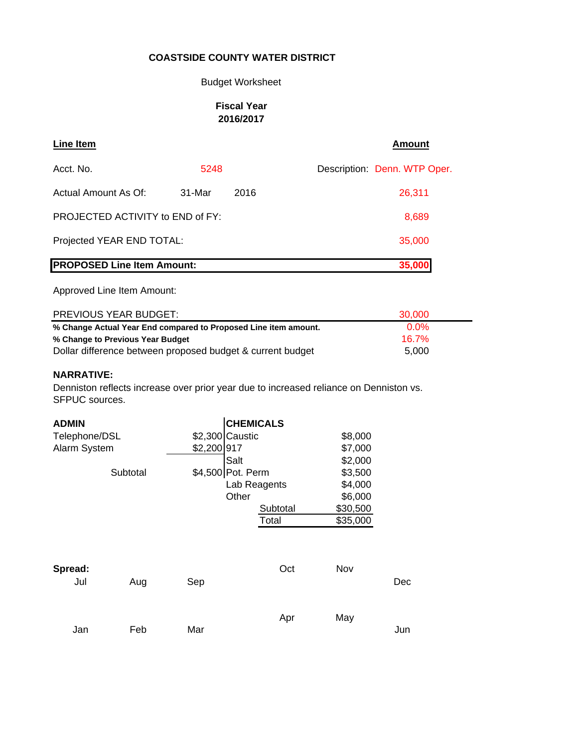#### Budget Worksheet

#### **Fiscal Year 2016/2017**

| Line Item                               |        |      | <b>Amount</b>                |
|-----------------------------------------|--------|------|------------------------------|
| Acct. No.                               | 5248   |      | Description: Denn. WTP Oper. |
| Actual Amount As Of:                    | 31-Mar | 2016 | 26,311                       |
| <b>PROJECTED ACTIVITY to END of FY:</b> |        |      | 8,689                        |
| Projected YEAR END TOTAL:               |        |      | 35,000                       |
| <b>PROPOSED Line Item Amount:</b>       |        |      | 35,000                       |

Approved Line Item Amount:

| PREVIOUS YEAR BUDGET:                                           | 30.000   |
|-----------------------------------------------------------------|----------|
| % Change Actual Year End compared to Proposed Line item amount. | $0.0\%$  |
| % Change to Previous Year Budget                                | $16.7\%$ |
| Dollar difference between proposed budget & current budget      | 5.000    |

#### **NARRATIVE:**

Denniston reflects increase over prior year due to increased reliance on Denniston vs. SFPUC sources.

| <b>ADMIN</b>   |          |                   | <b>CHEMICALS</b> |          |     |
|----------------|----------|-------------------|------------------|----------|-----|
| Telephone/DSL  |          | \$2,300 Caustic   |                  | \$8,000  |     |
| Alarm System   |          | \$2,200 917       |                  | \$7,000  |     |
|                |          | Salt              |                  | \$2,000  |     |
|                | Subtotal | \$4,500 Pot. Perm |                  | \$3,500  |     |
|                |          |                   | Lab Reagents     | \$4,000  |     |
|                |          | Other             |                  | \$6,000  |     |
|                |          |                   | Subtotal         | \$30,500 |     |
|                |          |                   | Total            | \$35,000 |     |
| Spread:<br>Jul | Aug      | Sep               | Oct              | Nov      | Dec |
| Jan            | Feb      | Mar               | Apr              | May      | Jun |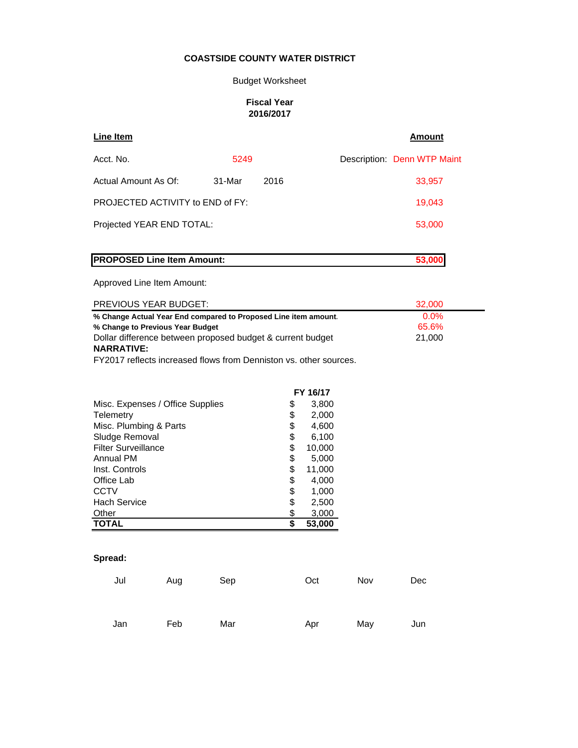#### Budget Worksheet

#### **Fiscal Year 2016/2017**

| Line Item                                                       |        |      | Amount                      |
|-----------------------------------------------------------------|--------|------|-----------------------------|
| Acct. No.                                                       | 5249   |      | Description: Denn WTP Maint |
| Actual Amount As Of:                                            | 31-Mar | 2016 | 33,957                      |
| PROJECTED ACTIVITY to END of FY:                                |        |      | 19,043                      |
| Projected YEAR END TOTAL:                                       |        |      | 53,000                      |
|                                                                 |        |      |                             |
| <b>PROPOSED Line Item Amount:</b>                               |        |      | 53,000                      |
| Approved Line Item Amount:                                      |        |      |                             |
| <b>PREVIOUS YEAR BUDGET:</b>                                    |        |      | 32,000                      |
| % Change Actual Year End compared to Proposed Line item amount. |        |      | $0.0\%$                     |
| % Change to Previous Year Budget                                |        |      | 65.6%                       |
| Dollar difference between proposed budget & current budget      |        |      | 21,000                      |

▃

#### **NARRATIVE:**

FY2017 reflects increased flows from Denniston vs. other sources.

|                                  | FY 16/17     |
|----------------------------------|--------------|
| Misc. Expenses / Office Supplies | \$<br>3,800  |
| Telemetry                        | \$<br>2,000  |
| Misc. Plumbing & Parts           | \$<br>4,600  |
| Sludge Removal                   | \$<br>6,100  |
| <b>Filter Surveillance</b>       | \$<br>10,000 |
| Annual PM                        | \$<br>5,000  |
| Inst. Controls                   | \$<br>11,000 |
| Office Lab                       | \$<br>4,000  |
| <b>CCTV</b>                      | \$<br>1,000  |
| <b>Hach Service</b>              | \$<br>2,500  |
| Other                            | \$<br>3,000  |
| <b>TOTAL</b>                     | \$<br>53,000 |

| Jul | Aug | Sep | Oct | Nov | Dec |
|-----|-----|-----|-----|-----|-----|
|     |     |     |     |     |     |
|     |     |     |     |     |     |
| Jan | Feb | Mar | Apr | May | Jun |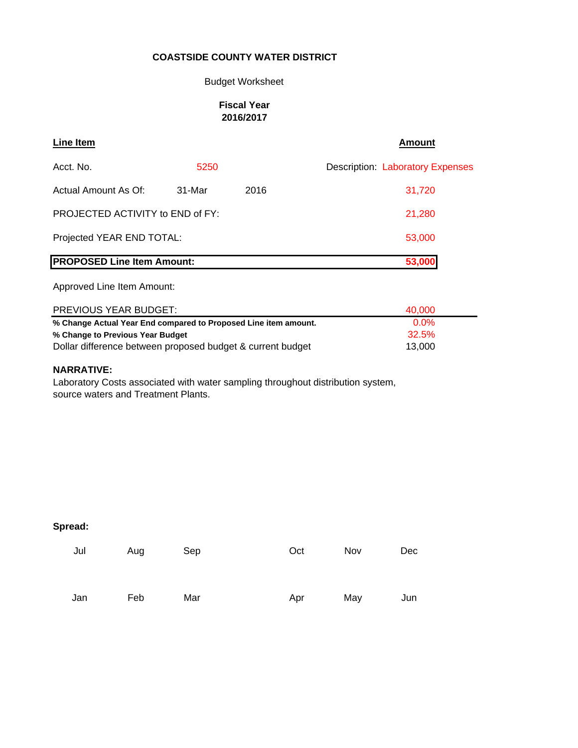## Budget Worksheet

#### **Fiscal Year 2016/2017**

| <b>Line Item</b>                        |        |      | Amount                                  |
|-----------------------------------------|--------|------|-----------------------------------------|
| Acct. No.                               | 5250   |      | <b>Description: Laboratory Expenses</b> |
| Actual Amount As Of:                    | 31-Mar | 2016 | 31,720                                  |
| <b>PROJECTED ACTIVITY to END of FY:</b> |        |      | 21,280                                  |
| Projected YEAR END TOTAL:               |        |      | 53,000                                  |
| <b>PROPOSED Line Item Amount:</b>       |        |      | 53,000                                  |

Approved Line Item Amount:

| <b>PREVIOUS YEAR BUDGET:</b>                                    | 40.000  |
|-----------------------------------------------------------------|---------|
| % Change Actual Year End compared to Proposed Line item amount. | $0.0\%$ |
| % Change to Previous Year Budget                                | 32.5%   |
| Dollar difference between proposed budget & current budget      | 13.000  |

#### **NARRATIVE:**

Laboratory Costs associated with water sampling throughout distribution system, source waters and Treatment Plants.

| Jul | Aug | Sep | Oct | Nov | Dec |
|-----|-----|-----|-----|-----|-----|
| Jan | Feb | Mar | Apr | May | Jun |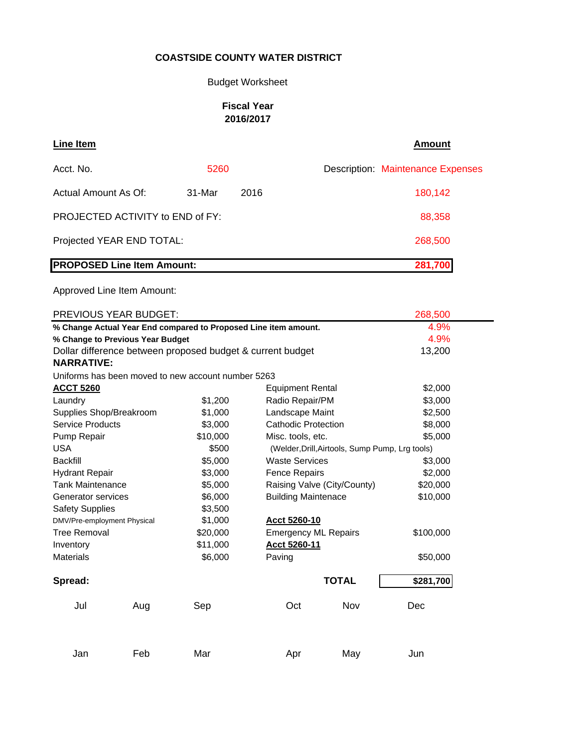## Budget Worksheet

## **Fiscal Year 2016/2017**

| Line Item                               |        |      | <b>Amount</b>                            |
|-----------------------------------------|--------|------|------------------------------------------|
| Acct. No.                               | 5260   |      | <b>Description: Maintenance Expenses</b> |
| Actual Amount As Of:                    | 31-Mar | 2016 | 180,142                                  |
| <b>PROJECTED ACTIVITY to END of FY:</b> |        |      | 88,358                                   |
| Projected YEAR END TOTAL:               |        |      | 268,500                                  |
| <b>PROPOSED Line Item Amount:</b>       |        |      | 281,700                                  |

Approved Line Item Amount:

| PREVIOUS YEAR BUDGET:<br>268,500                                        |                                 |                                                            |                                        |                                                 |           |  |  |
|-------------------------------------------------------------------------|---------------------------------|------------------------------------------------------------|----------------------------------------|-------------------------------------------------|-----------|--|--|
| 4.9%<br>% Change Actual Year End compared to Proposed Line item amount. |                                 |                                                            |                                        |                                                 |           |  |  |
| % Change to Previous Year Budget                                        | 4.9%                            |                                                            |                                        |                                                 |           |  |  |
|                                                                         |                                 | Dollar difference between proposed budget & current budget |                                        |                                                 | 13,200    |  |  |
| <b>NARRATIVE:</b>                                                       |                                 |                                                            |                                        |                                                 |           |  |  |
| Uniforms has been moved to new account number 5263                      |                                 |                                                            |                                        |                                                 |           |  |  |
| <b>ACCT 5260</b>                                                        |                                 |                                                            | <b>Equipment Rental</b>                |                                                 | \$2,000   |  |  |
| Laundry                                                                 |                                 | \$1,200                                                    | Radio Repair/PM                        |                                                 | \$3,000   |  |  |
| Supplies Shop/Breakroom                                                 |                                 | \$1,000                                                    | Landscape Maint                        |                                                 | \$2,500   |  |  |
| Service Products                                                        |                                 | \$3,000                                                    | <b>Cathodic Protection</b>             |                                                 | \$8,000   |  |  |
| Pump Repair                                                             |                                 | \$10,000                                                   | Misc. tools, etc.                      |                                                 | \$5,000   |  |  |
| <b>USA</b>                                                              |                                 | \$500                                                      |                                        | (Welder, Drill, Airtools, Sump Pump, Lrg tools) |           |  |  |
| <b>Backfill</b>                                                         |                                 | \$5,000                                                    | <b>Waste Services</b>                  |                                                 | \$3,000   |  |  |
| <b>Hydrant Repair</b>                                                   | \$3,000<br><b>Fence Repairs</b> |                                                            | \$2,000                                |                                                 |           |  |  |
| <b>Tank Maintenance</b>                                                 |                                 | \$5,000                                                    | Raising Valve (City/County)            |                                                 | \$20,000  |  |  |
| Generator services                                                      |                                 | \$6,000                                                    | <b>Building Maintenace</b><br>\$10,000 |                                                 |           |  |  |
| <b>Safety Supplies</b>                                                  |                                 | \$3,500                                                    |                                        |                                                 |           |  |  |
| DMV/Pre-employment Physical                                             |                                 | \$1,000                                                    | Acct 5260-10                           |                                                 |           |  |  |
| Tree Removal                                                            |                                 | \$20,000                                                   | <b>Emergency ML Repairs</b>            |                                                 | \$100,000 |  |  |
| Inventory                                                               |                                 | \$11,000                                                   | Acct 5260-11                           |                                                 |           |  |  |
| <b>Materials</b>                                                        |                                 | \$6,000                                                    | Paving                                 |                                                 | \$50,000  |  |  |
| Spread:                                                                 |                                 |                                                            |                                        | <b>TOTAL</b>                                    | \$281,700 |  |  |
| Jul                                                                     | Aug                             | Sep                                                        | Oct                                    | Nov                                             | Dec       |  |  |
|                                                                         |                                 |                                                            |                                        |                                                 |           |  |  |
| Jan                                                                     | Feb                             | Mar                                                        | Apr                                    | May                                             | Jun       |  |  |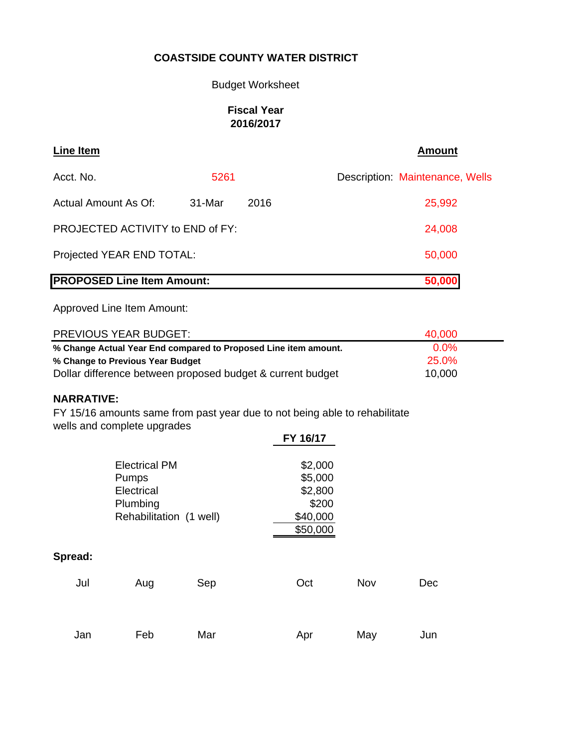## Budget Worksheet

## **Fiscal Year 2016/2017**

| <b>Line Item</b>                  |        |      | <b>Amount</b>                   |
|-----------------------------------|--------|------|---------------------------------|
| Acct. No.                         | 5261   |      | Description: Maintenance, Wells |
| Actual Amount As Of:              | 31-Mar | 2016 | 25,992                          |
| PROJECTED ACTIVITY to END of FY:  |        |      | 24,008                          |
| Projected YEAR END TOTAL:         |        |      | 50,000                          |
| <b>PROPOSED Line Item Amount:</b> |        |      | 50,000                          |

Approved Line Item Amount:

| <b>PREVIOUS YEAR BUDGET:</b>                                    | 40,000  |  |
|-----------------------------------------------------------------|---------|--|
| % Change Actual Year End compared to Proposed Line item amount. | $0.0\%$ |  |
| % Change to Previous Year Budget                                | 25.0%   |  |
| Dollar difference between proposed budget & current budget      | 10,000  |  |

#### **NARRATIVE:**

FY 15/16 amounts same from past year due to not being able to rehabilitate wells and complete upgrades

|         |                         |     | FY 16/17 |     |     |
|---------|-------------------------|-----|----------|-----|-----|
|         | <b>Electrical PM</b>    |     | \$2,000  |     |     |
|         | Pumps                   |     | \$5,000  |     |     |
|         | Electrical              |     | \$2,800  |     |     |
|         | Plumbing                |     | \$200    |     |     |
|         | Rehabilitation (1 well) |     | \$40,000 |     |     |
|         |                         |     | \$50,000 |     |     |
| Spread: |                         |     |          |     |     |
| Jul     | Aug                     | Sep | Oct      | Nov | Dec |
|         |                         |     |          |     |     |
|         |                         |     |          |     |     |
| Jan     | Feb                     | Mar | Apr      | May | Jun |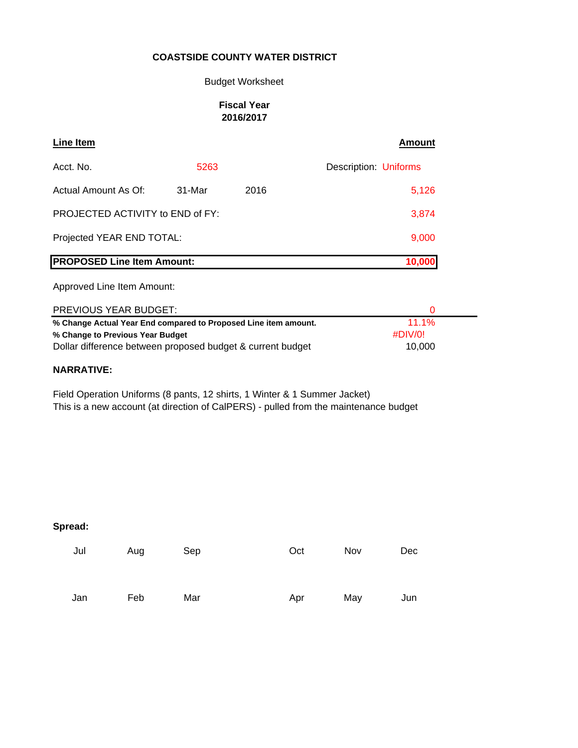#### Budget Worksheet

#### **Fiscal Year 2016/2017**

| Line Item                               |        |      | Amount                |
|-----------------------------------------|--------|------|-----------------------|
| Acct. No.                               | 5263   |      | Description: Uniforms |
| Actual Amount As Of:                    | 31-Mar | 2016 | 5,126                 |
| <b>PROJECTED ACTIVITY to END of FY:</b> |        |      | 3,874                 |
| Projected YEAR END TOTAL:               | 9,000  |      |                       |
| <b>PROPOSED Line Item Amount:</b>       |        |      | 10,000                |

Approved Line Item Amount:

| <b>PREVIOUS YEAR BUDGET:</b>                                    |          |
|-----------------------------------------------------------------|----------|
| % Change Actual Year End compared to Proposed Line item amount. | $11.1\%$ |
| % Change to Previous Year Budget                                | #DIV/0!  |
| Dollar difference between proposed budget & current budget      | 10.000   |

#### **NARRATIVE:**

Field Operation Uniforms (8 pants, 12 shirts, 1 Winter & 1 Summer Jacket) This is a new account (at direction of CalPERS) - pulled from the maintenance budget

| Jul | Aug | Sep | Oct | Nov | Dec |
|-----|-----|-----|-----|-----|-----|
| Jan | Feb | Mar | Apr | May | Jun |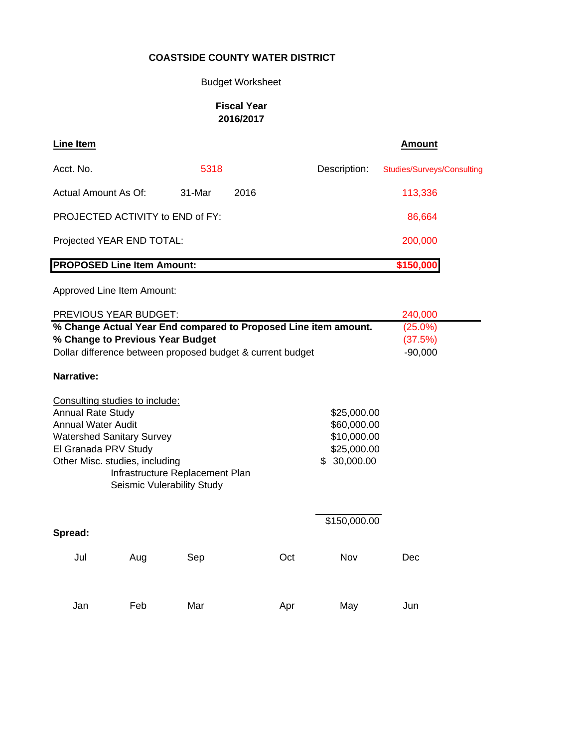## Budget Worksheet

## **Fiscal Year 2016/2017**

| <b>Line Item</b>                                                                                                                                                                      |     |                                                               |      |     |                                                                         | <b>Amount</b>                     |
|---------------------------------------------------------------------------------------------------------------------------------------------------------------------------------------|-----|---------------------------------------------------------------|------|-----|-------------------------------------------------------------------------|-----------------------------------|
| Acct. No.                                                                                                                                                                             |     | 5318                                                          |      |     | Description:                                                            | <b>Studies/Surveys/Consulting</b> |
| Actual Amount As Of:                                                                                                                                                                  |     | 31-Mar                                                        | 2016 |     |                                                                         | 113,336                           |
| PROJECTED ACTIVITY to END of FY:                                                                                                                                                      |     |                                                               |      |     |                                                                         | 86,664                            |
| Projected YEAR END TOTAL:                                                                                                                                                             |     |                                                               |      |     |                                                                         | 200,000                           |
| <b>PROPOSED Line Item Amount:</b>                                                                                                                                                     |     |                                                               |      |     |                                                                         | \$150,000                         |
| Approved Line Item Amount:                                                                                                                                                            |     |                                                               |      |     |                                                                         |                                   |
| PREVIOUS YEAR BUDGET:                                                                                                                                                                 |     |                                                               |      |     |                                                                         | 240,000                           |
|                                                                                                                                                                                       |     |                                                               |      |     | % Change Actual Year End compared to Proposed Line item amount.         | $(25.0\%)$                        |
| % Change to Previous Year Budget                                                                                                                                                      |     |                                                               |      |     |                                                                         | (37.5%)                           |
| Dollar difference between proposed budget & current budget                                                                                                                            |     |                                                               |      |     |                                                                         | $-90,000$                         |
| Narrative:                                                                                                                                                                            |     |                                                               |      |     |                                                                         |                                   |
| Consulting studies to include:<br><b>Annual Rate Study</b><br><b>Annual Water Audit</b><br><b>Watershed Sanitary Survey</b><br>El Granada PRV Study<br>Other Misc. studies, including |     | Infrastructure Replacement Plan<br>Seismic Vulerability Study |      |     | \$25,000.00<br>\$60,000.00<br>\$10,000.00<br>\$25,000.00<br>\$30,000.00 |                                   |
| Spread:                                                                                                                                                                               |     |                                                               |      |     | \$150,000.00                                                            |                                   |
| Jul                                                                                                                                                                                   | Aug | Sep                                                           |      | Oct | Nov                                                                     | Dec                               |
| Jan                                                                                                                                                                                   | Feb | Mar                                                           |      | Apr | May                                                                     | Jun                               |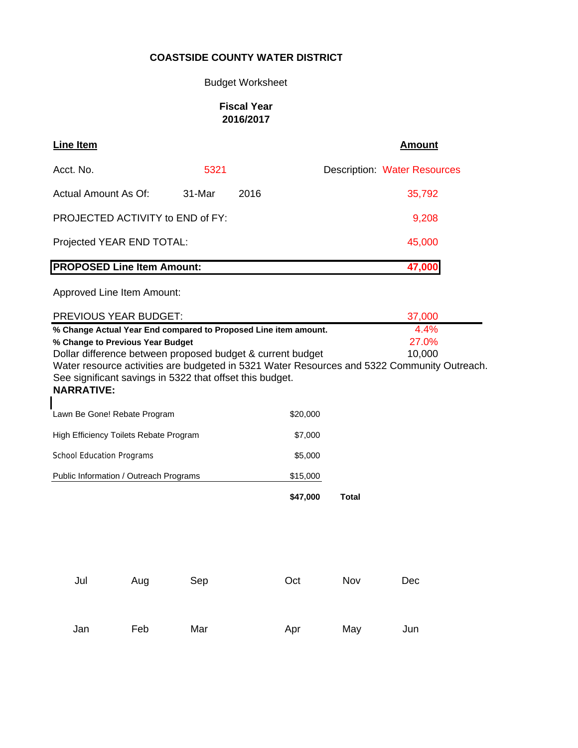## Budget Worksheet

## **Fiscal Year 2016/2017**

| Line Item                               |          |      | Amount                              |
|-----------------------------------------|----------|------|-------------------------------------|
| Acct. No.                               | 5321     |      | <b>Description: Water Resources</b> |
| Actual Amount As Of:                    | $31-Mar$ | 2016 | 35,792                              |
| <b>PROJECTED ACTIVITY to END of FY:</b> | 9,208    |      |                                     |
| Projected YEAR END TOTAL:               |          |      | 45,000                              |
| <b>PROPOSED Line Item Amount:</b>       |          |      | 47,000                              |
| Approved Line Item Amount:              |          |      |                                     |

| <b>PREVIOUS YEAR BUDGET:</b>                                                                                                                                                 |          | 37,000       |
|------------------------------------------------------------------------------------------------------------------------------------------------------------------------------|----------|--------------|
| % Change Actual Year End compared to Proposed Line item amount.                                                                                                              | 4.4%     |              |
| % Change to Previous Year Budget                                                                                                                                             |          | 27.0%        |
| Dollar difference between proposed budget & current budget                                                                                                                   |          | 10,000       |
| Water resource activities are budgeted in 5321 Water Resources and 5322 Community Outreach.<br>See significant savings in 5322 that offset this budget.<br><b>NARRATIVE:</b> |          |              |
| Lawn Be Gone! Rebate Program                                                                                                                                                 | \$20,000 |              |
| High Efficiency Toilets Rebate Program                                                                                                                                       | \$7,000  |              |
| <b>School Education Programs</b>                                                                                                                                             | \$5,000  |              |
| Public Information / Outreach Programs                                                                                                                                       | \$15,000 |              |
|                                                                                                                                                                              | \$47,000 | <b>Total</b> |
|                                                                                                                                                                              |          |              |
|                                                                                                                                                                              |          |              |
|                                                                                                                                                                              |          |              |

| Jul | Aug | Sep | Oct | Nov | Dec |
|-----|-----|-----|-----|-----|-----|
| Jan | Feb | Mar | Apr | May | Jun |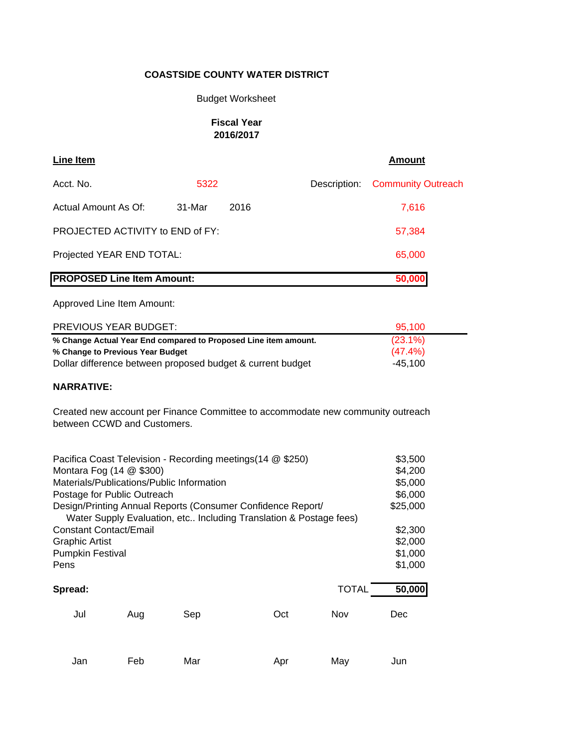#### Budget Worksheet

#### **Fiscal Year 2016/2017**

| <b>Line Item</b>                  |        |      |  | <b>Amount</b>                   |
|-----------------------------------|--------|------|--|---------------------------------|
| Acct. No.                         | 5322   |      |  | Description: Community Outreach |
| Actual Amount As Of:              | 31-Mar | 2016 |  | 7.616                           |
| PROJECTED ACTIVITY to END of FY:  |        |      |  | 57,384                          |
| Projected YEAR END TOTAL:         |        |      |  | 65,000                          |
| <b>PROPOSED Line Item Amount:</b> |        |      |  | 50,000                          |

Approved Line Item Amount:

| PREVIOUS YEAR BUDGET:                                           | 95.100     |
|-----------------------------------------------------------------|------------|
| % Change Actual Year End compared to Proposed Line item amount. | $(23.1\%)$ |
| % Change to Previous Year Budget                                | $(47.4\%)$ |
| Dollar difference between proposed budget & current budget      | -45.100    |

#### **NARRATIVE:**

Created new account per Finance Committee to accommodate new community outreach between CCWD and Customers.

| Pacifica Coast Television - Recording meetings (14 @ \$250) |     |     |                                                                    |              |          |  |
|-------------------------------------------------------------|-----|-----|--------------------------------------------------------------------|--------------|----------|--|
| Montara Fog (14 @ \$300)                                    |     |     |                                                                    |              |          |  |
| Materials/Publications/Public Information                   |     |     |                                                                    |              |          |  |
| Postage for Public Outreach                                 |     |     |                                                                    |              |          |  |
|                                                             |     |     | Design/Printing Annual Reports (Consumer Confidence Report/        |              | \$25,000 |  |
|                                                             |     |     | Water Supply Evaluation, etc Including Translation & Postage fees) |              |          |  |
| <b>Constant Contact/Email</b>                               |     |     |                                                                    |              | \$2,300  |  |
| <b>Graphic Artist</b>                                       |     |     |                                                                    |              |          |  |
| <b>Pumpkin Festival</b>                                     |     |     |                                                                    |              | \$1,000  |  |
| Pens                                                        |     |     |                                                                    |              | \$1,000  |  |
| Spread:                                                     |     |     |                                                                    | <b>TOTAL</b> | 50,000   |  |
| Jul                                                         | Aug | Sep | Oct                                                                | Nov          | Dec      |  |
|                                                             |     |     |                                                                    |              |          |  |
|                                                             |     |     |                                                                    |              |          |  |

Jan Feb Mar Apr May Jun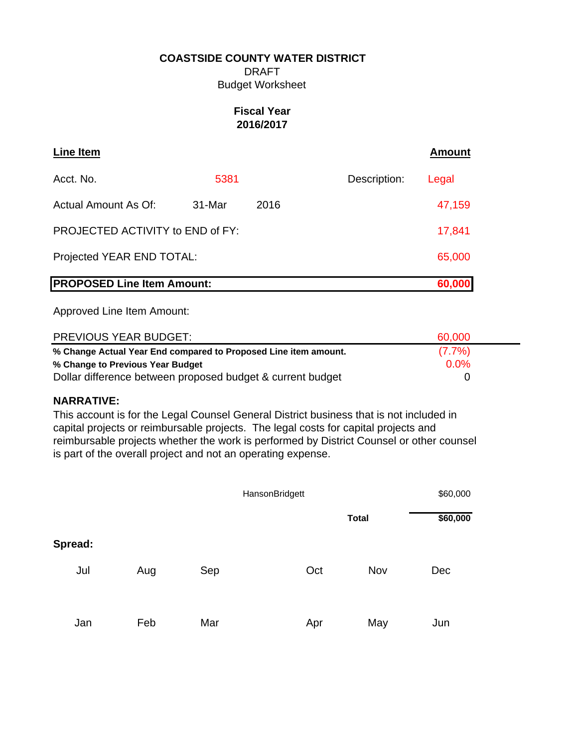DRAFT Budget Worksheet

## **Fiscal Year 2016/2017**

| Line Item                         |        |      |              | <b>Amount</b> |
|-----------------------------------|--------|------|--------------|---------------|
| Acct. No.                         | 5381   |      | Description: | Legal         |
| Actual Amount As Of:              | 31-Mar | 2016 |              | 47,159        |
| PROJECTED ACTIVITY to END of FY:  |        |      |              | 17,841        |
| Projected YEAR END TOTAL:         |        |      |              | 65,000        |
| <b>PROPOSED Line Item Amount:</b> |        |      |              | 60,000        |

Approved Line Item Amount:

| <b>PREVIOUS YEAR BUDGET:</b>                                    | 60,000    |
|-----------------------------------------------------------------|-----------|
| % Change Actual Year End compared to Proposed Line item amount. | $(7.7\%)$ |
| % Change to Previous Year Budget                                | 0.0%      |
| Dollar difference between proposed budget & current budget      |           |

## **NARRATIVE:**

This account is for the Legal Counsel General District business that is not included in capital projects or reimbursable projects. The legal costs for capital projects and reimbursable projects whether the work is performed by District Counsel or other counsel is part of the overall project and not an operating expense.

|         |     |     | HansonBridgett |              | \$60,000 |
|---------|-----|-----|----------------|--------------|----------|
|         |     |     |                | <b>Total</b> | \$60,000 |
| Spread: |     |     |                |              |          |
| Jul     | Aug | Sep | Oct            | Nov          | Dec      |
| Jan     | Feb | Mar | Apr            | May          | Jun      |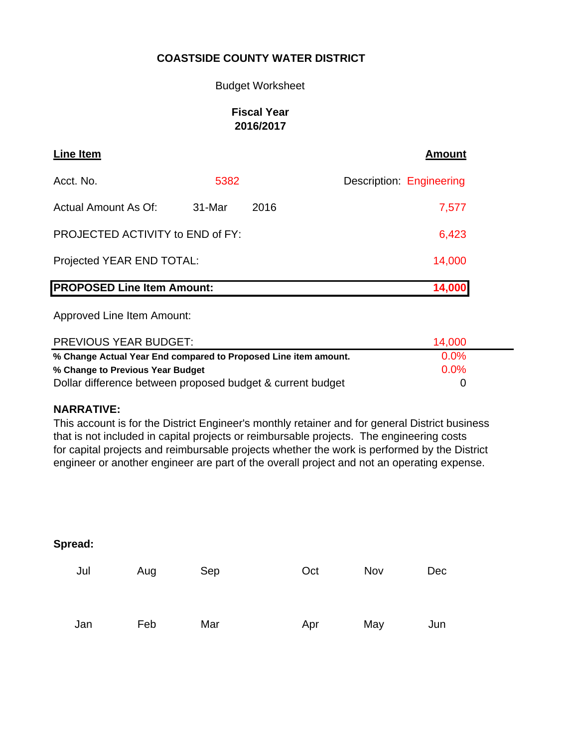#### Budget Worksheet

## **Fiscal Year 2016/2017**

| Line Item                         |        |      | <b>Amount</b>            |
|-----------------------------------|--------|------|--------------------------|
| Acct. No.                         | 5382   |      | Description: Engineering |
| Actual Amount As Of:              | 31-Mar | 2016 | 7,577                    |
| PROJECTED ACTIVITY to END of FY:  |        |      | 6,423                    |
| Projected YEAR END TOTAL:         |        |      | 14,000                   |
| <b>PROPOSED Line Item Amount:</b> |        |      | <b>14,000</b>            |

Approved Line Item Amount:

| PREVIOUS YEAR BUDGET:                                           | 14.000  |  |
|-----------------------------------------------------------------|---------|--|
| % Change Actual Year End compared to Proposed Line item amount. | $0.0\%$ |  |
| % Change to Previous Year Budget                                | $0.0\%$ |  |
| Dollar difference between proposed budget & current budget      |         |  |

## **NARRATIVE:**

This account is for the District Engineer's monthly retainer and for general District business that is not included in capital projects or reimbursable projects. The engineering costs for capital projects and reimbursable projects whether the work is performed by the District engineer or another engineer are part of the overall project and not an operating expense.

| Jul | Aug | Sep | Oct | Nov | Dec |
|-----|-----|-----|-----|-----|-----|
| Jan | Feb | Mar | Apr | May | Jun |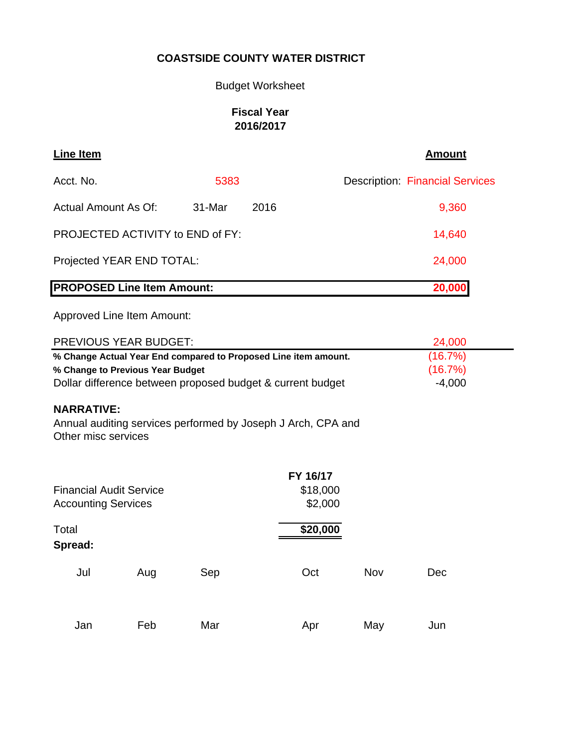# Budget Worksheet

# **Fiscal Year 2016/2017**

| Line Item                         |        |      | <b>Amount</b>                          |
|-----------------------------------|--------|------|----------------------------------------|
| Acct. No.                         | 5383   |      | <b>Description: Financial Services</b> |
| Actual Amount As Of:              | 31-Mar | 2016 | 9,360                                  |
| PROJECTED ACTIVITY to END of FY:  |        |      | 14,640                                 |
| Projected YEAR END TOTAL:         |        |      | 24,000                                 |
| <b>PROPOSED Line Item Amount:</b> |        |      | 20,000                                 |

Approved Line Item Amount:

| PREVIOUS YEAR BUDGET:                                                                                                                                             |     |     |                                                              |            | 24,000                         |
|-------------------------------------------------------------------------------------------------------------------------------------------------------------------|-----|-----|--------------------------------------------------------------|------------|--------------------------------|
| % Change Actual Year End compared to Proposed Line item amount.<br>% Change to Previous Year Budget<br>Dollar difference between proposed budget & current budget |     |     |                                                              |            | (16.7%)<br>(16.7%)<br>$-4,000$ |
| <b>NARRATIVE:</b><br>Other misc services                                                                                                                          |     |     | Annual auditing services performed by Joseph J Arch, CPA and |            |                                |
| FY 16/17<br><b>Financial Audit Service</b><br>\$18,000<br>\$2,000<br><b>Accounting Services</b>                                                                   |     |     |                                                              |            |                                |
| Total<br>Spread:                                                                                                                                                  |     |     | \$20,000                                                     |            |                                |
| Jul                                                                                                                                                               | Aug | Sep | Oct                                                          | <b>Nov</b> | Dec                            |
| Jan                                                                                                                                                               | Feb | Mar | Apr                                                          | May        | Jun                            |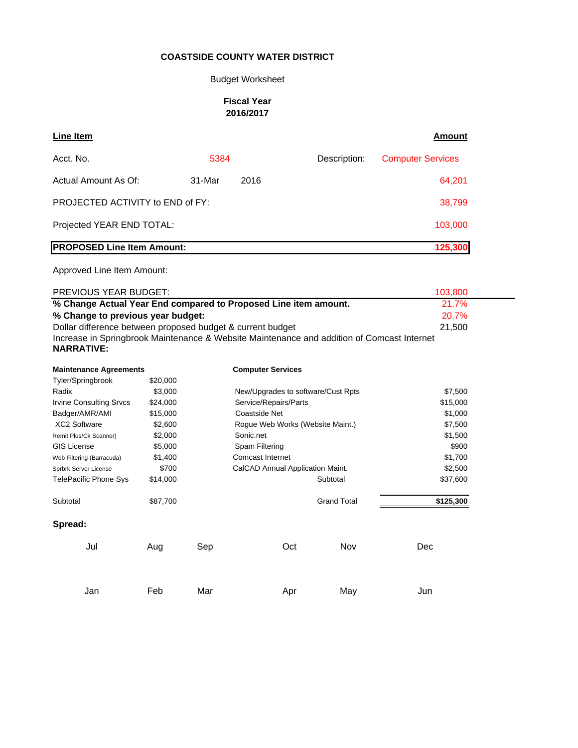## Budget Worksheet

#### **Fiscal Year 2016/2017**

| <b>Line Item</b>                                                                           |          |        |                                    |     |                    | <u>Amount</u>            |
|--------------------------------------------------------------------------------------------|----------|--------|------------------------------------|-----|--------------------|--------------------------|
| Acct. No.                                                                                  |          | 5384   |                                    |     | Description:       | <b>Computer Services</b> |
| Actual Amount As Of:                                                                       |          | 31-Mar | 2016                               |     |                    | 64,201                   |
| PROJECTED ACTIVITY to END of FY:                                                           |          |        |                                    |     |                    | 38,799                   |
| Projected YEAR END TOTAL:                                                                  |          |        |                                    |     |                    | 103,000                  |
| <b>PROPOSED Line Item Amount:</b>                                                          |          |        |                                    |     |                    | 125,300                  |
| Approved Line Item Amount:                                                                 |          |        |                                    |     |                    |                          |
| PREVIOUS YEAR BUDGET:                                                                      |          |        |                                    |     |                    | 103,800                  |
| % Change Actual Year End compared to Proposed Line item amount.                            |          |        |                                    |     |                    | 21.7%                    |
| % Change to previous year budget:                                                          |          |        |                                    |     |                    | 20.7%                    |
| Dollar difference between proposed budget & current budget                                 |          |        |                                    |     |                    | 21,500                   |
| Increase in Springbrook Maintenance & Website Maintenance and addition of Comcast Internet |          |        |                                    |     |                    |                          |
| <b>NARRATIVE:</b>                                                                          |          |        |                                    |     |                    |                          |
| <b>Maintenance Agreements</b>                                                              |          |        | <b>Computer Services</b>           |     |                    |                          |
| Tyler/Springbrook                                                                          | \$20,000 |        |                                    |     |                    |                          |
| Radix                                                                                      | \$3,000  |        | New/Upgrades to software/Cust Rpts |     |                    | \$7,500                  |
| <b>Irvine Consulting Srvcs</b>                                                             | \$24,000 |        | Service/Repairs/Parts              |     |                    | \$15,000                 |
| Badger/AMR/AMI                                                                             | \$15,000 |        | Coastside Net                      |     |                    | \$1,000                  |
| <b>XC2 Software</b>                                                                        | \$2,600  |        | Rogue Web Works (Website Maint.)   |     |                    | \$7,500                  |
| Remit Plus/Ck Scanner)                                                                     | \$2,000  |        | Sonic.net                          |     |                    | \$1,500                  |
| <b>GIS License</b>                                                                         | \$5,000  |        | Spam Filtering                     |     |                    | \$900                    |
| Web Filtering (Barracuda)                                                                  | \$1,400  |        | Comcast Internet                   |     |                    | \$1,700                  |
| Sprbrk Server License                                                                      | \$700    |        | CalCAD Annual Application Maint.   |     |                    | \$2,500                  |
| <b>TelePacific Phone Sys</b>                                                               | \$14,000 |        |                                    |     | Subtotal           | \$37,600                 |
| Subtotal                                                                                   | \$87,700 |        |                                    |     | <b>Grand Total</b> | \$125,300                |
| Spread:                                                                                    |          |        |                                    |     |                    |                          |
| Jul                                                                                        | Aug      | Sep    |                                    | Oct | Nov                | Dec                      |
| Jan                                                                                        | Feb      | Mar    |                                    | Apr | May                | Jun                      |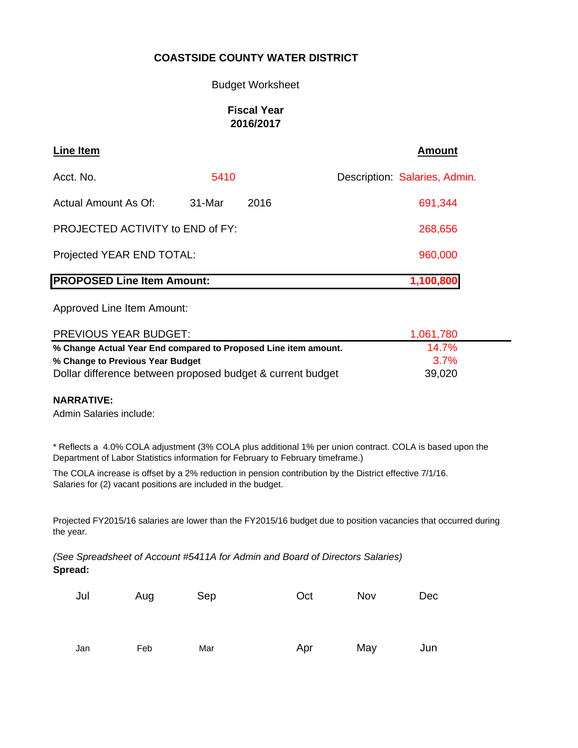#### Budget Worksheet

## **Fiscal Year 2016/2017**

| Line Item                               |           |      | <b>Amount</b>                 |
|-----------------------------------------|-----------|------|-------------------------------|
| Acct. No.                               | 5410      |      | Description: Salaries, Admin. |
| Actual Amount As Of:                    | 31-Mar    | 2016 | 691,344                       |
| <b>PROJECTED ACTIVITY to END of FY:</b> | 268,656   |      |                               |
| Projected YEAR END TOTAL:               | 960,000   |      |                               |
| <b>PROPOSED Line Item Amount:</b>       | 1,100,800 |      |                               |

Approved Line Item Amount:

| <b>PREVIOUS YEAR BUDGET:</b>                                    | 1,061,780 |  |
|-----------------------------------------------------------------|-----------|--|
| % Change Actual Year End compared to Proposed Line item amount. | $14.7\%$  |  |
| % Change to Previous Year Budget                                | 37%       |  |
| Dollar difference between proposed budget & current budget      | 39,020    |  |

#### **NARRATIVE:**

Admin Salaries include:

\* Reflects a 4.0% COLA adjustment (3% COLA plus additional 1% per union contract. COLA is based upon the Department of Labor Statistics information for February to February timeframe.)

The COLA increase is offset by a 2% reduction in pension contribution by the District effective 7/1/16. Salaries for (2) vacant positions are included in the budget.

Projected FY2015/16 salaries are lower than the FY2015/16 budget due to position vacancies that occurred during the year.

**Spread:** *(See Spreadsheet of Account #5411A for Admin and Board of Directors Salaries)*

| Jul | Aug | Sep | Oct | Nov | <b>Dec</b> |
|-----|-----|-----|-----|-----|------------|
|     |     |     |     |     |            |
| Jan | Feb | Mar | Apr | May | Jun        |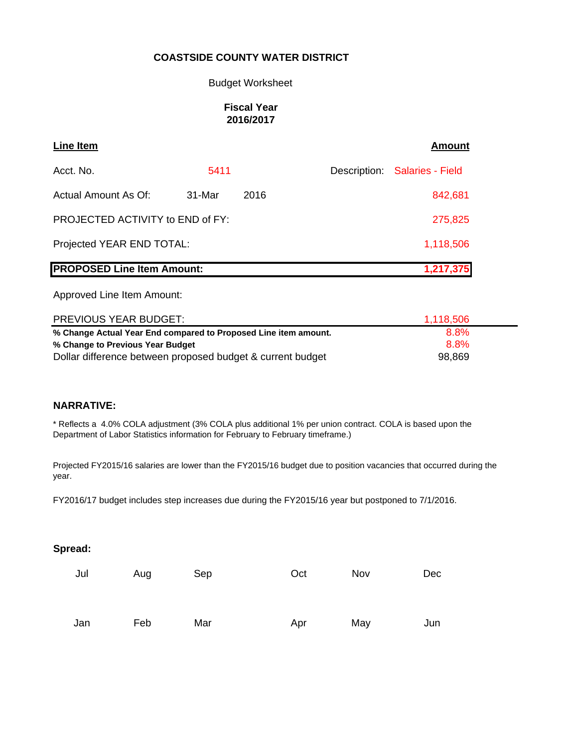#### Budget Worksheet

#### **Fiscal Year 2016/2017**

| Line Item                         |           |      | Amount                        |
|-----------------------------------|-----------|------|-------------------------------|
| Acct. No.                         | 5411      |      | Description: Salaries - Field |
| Actual Amount As Of:              | 31-Mar    | 2016 | 842,681                       |
| PROJECTED ACTIVITY to END of FY:  | 275,825   |      |                               |
| Projected YEAR END TOTAL:         | 1,118,506 |      |                               |
| <b>PROPOSED Line Item Amount:</b> | 1,217,375 |      |                               |

Approved Line Item Amount:

| <b>PREVIOUS YEAR BUDGET:</b>                                    | 1,118,506 |  |
|-----------------------------------------------------------------|-----------|--|
| % Change Actual Year End compared to Proposed Line item amount. | 8.8%      |  |
| % Change to Previous Year Budget                                | 8.8%      |  |
| Dollar difference between proposed budget & current budget      | 98,869    |  |

## **NARRATIVE:**

\* Reflects a 4.0% COLA adjustment (3% COLA plus additional 1% per union contract. COLA is based upon the Department of Labor Statistics information for February to February timeframe.)

Projected FY2015/16 salaries are lower than the FY2015/16 budget due to position vacancies that occurred during the year.

FY2016/17 budget includes step increases due during the FY2015/16 year but postponed to 7/1/2016.

| Jul | Aug | Sep | Oct | Nov | Dec |
|-----|-----|-----|-----|-----|-----|
| Jan | Feb | Mar | Apr | May | Jun |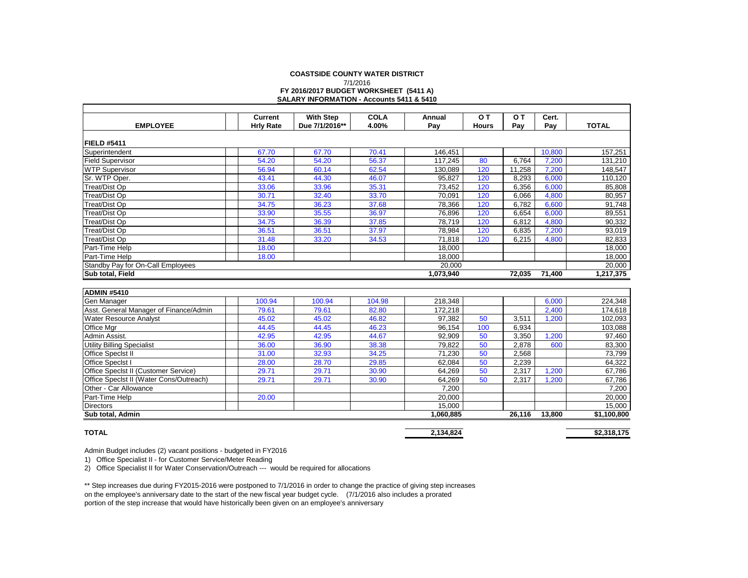#### **COASTSIDE COUNTY WATER DISTRICT FY 2016/2017 BUDGET WORKSHEET (5411 A) SALARY INFORMATION - Accounts 5411 & 5410** 7/1/2016

|                                             | Current          | <b>With Step</b> | <b>COLA</b> | Annual    | O T          | 0T     | Cert.  |              |
|---------------------------------------------|------------------|------------------|-------------|-----------|--------------|--------|--------|--------------|
| <b>EMPLOYEE</b>                             | <b>Hrly Rate</b> | Due 7/1/2016**   | 4.00%       | Pay       | <b>Hours</b> | Pay    | Pay    | <b>TOTAL</b> |
|                                             |                  |                  |             |           |              |        |        |              |
| FIELD #5411                                 |                  |                  |             |           |              |        |        |              |
| Superintendent                              | 67.70            | 67.70            | 70.41       | 146,451   |              |        | 10,800 | 157,251      |
| <b>Field Supervisor</b>                     | 54.20            | 54.20            | 56.37       | 117,245   | 80           | 6,764  | 7,200  | 131,210      |
| <b>WTP Supervisor</b>                       | 56.94            | 60.14            | 62.54       | 130,089   | 120          | 11,258 | 7,200  | 148,547      |
| Sr. WTP Oper.                               | 43.41            | 44.30            | 46.07       | 95.827    | 120          | 8.293  | 6,000  | 110,120      |
| Treat/Dist Op                               | 33.06            | 33.96            | 35.31       | 73,452    | 120          | 6.356  | 6,000  | 85,808       |
| <b>Treat/Dist Op</b>                        | 30.71            | 32.40            | 33.70       | 70,091    | 120          | 6,066  | 4,800  | 80,957       |
| <b>Treat/Dist Op</b>                        | 34.75            | 36.23            | 37.68       | 78.366    | 120          | 6,782  | 6,600  | 91,748       |
| <b>Treat/Dist Op</b>                        | 33.90            | 35.55            | 36.97       | 76.896    | 120          | 6,654  | 6,000  | 89,551       |
| <b>Treat/Dist Op</b>                        | 34.75            | 36.39            | 37.85       | 78,719    | 120          | 6,812  | 4,800  | 90,332       |
| <b>Treat/Dist Op</b>                        | 36.51            | 36.51            | 37.97       | 78,984    | 120          | 6,835  | 7,200  | 93,019       |
| <b>Treat/Dist Op</b>                        | 31.48            | 33.20            | 34.53       | 71,818    | 120          | 6.215  | 4,800  | 82,833       |
| Part-Time Help                              | 18.00            |                  |             | 18,000    |              |        |        | 18,000       |
| Part-Time Help                              | 18.00            |                  |             | 18.000    |              |        |        | 18,000       |
| Standby Pay for On-Call Employees           |                  |                  |             | 20,000    |              |        |        | 20,000       |
| Sub total, Field                            |                  |                  |             | 1,073,940 |              | 72,035 | 71,400 | 1,217,375    |
|                                             |                  |                  |             |           |              |        |        |              |
| <b>ADMIN #5410</b>                          |                  |                  |             |           |              |        |        |              |
| Gen Manager                                 | 100.94           | 100.94           | 104.98      | 218,348   |              |        | 6,000  | 224,348      |
| Asst. General Manager of Finance/Admin      | 79.61            | 79.61            | 82.80       | 172,218   |              |        | 2,400  | 174,618      |
| Water Resource Analyst                      | 45.02            | 45.02            | 46.82       | 97,382    | 50           | 3,511  | 1,200  | 102,093      |
| Office Mgr                                  | 44.45            | 44.45            | 46.23       | 96.154    | 100          | 6.934  |        | 103,088      |
| Admin Assist.                               | 42.95            | 42.95            | 44.67       | 92,909    | 50           | 3,350  | 1,200  | 97,460       |
| <b>Utility Billing Specialist</b>           | 36.00            | 36.90            | 38.38       | 79,822    | 50           | 2,878  | 600    | 83,300       |
| Office Specist II                           | 31.00            | 32.93            | 34.25       | 71,230    | 50           | 2,568  |        | 73,799       |
| Office Specist I                            | 28.00            | 28.70            | 29.85       | 62,084    | 50           | 2,239  |        | 64,322       |
| <b>Office Specist II (Customer Service)</b> | 29.71            | 29.71            | 30.90       | 64.269    | 50           | 2,317  | 1,200  | 67,786       |
| Office Specist II (Water Cons/Outreach)     | 29.71            | 29.71            | 30.90       | 64.269    | 50           | 2.317  | 1.200  | 67.786       |

Other - Car Allowance 7,200 7,200 7,200 7,200 7,200 7,200 7,200 7,200 7,200 7,200 7,200 7,200 7,200 7,200 7,200 Part-Time Help | | 20.00 | | | 20,000 | | 20,000 Directors 15,000 15,000 **Sub total, Admin 1,060,885 26,116 13,800 \$1,100,800**

#### **TOTAL**

**2,134,824 \$2,318,175**

Admin Budget includes (2) vacant positions - budgeted in FY2016

1) Office Specialist II - for Customer Service/Meter Reading

2) Office Specialist II for Water Conservation/Outreach --- would be required for allocations

\*\* Step increases due during FY2015-2016 were postponed to 7/1/2016 in order to change the practice of giving step increases on the employee's anniversary date to the start of the new fiscal year budget cycle. (7/1/2016 also includes a prorated portion of the step increase that would have historically been given on an employee's anniversary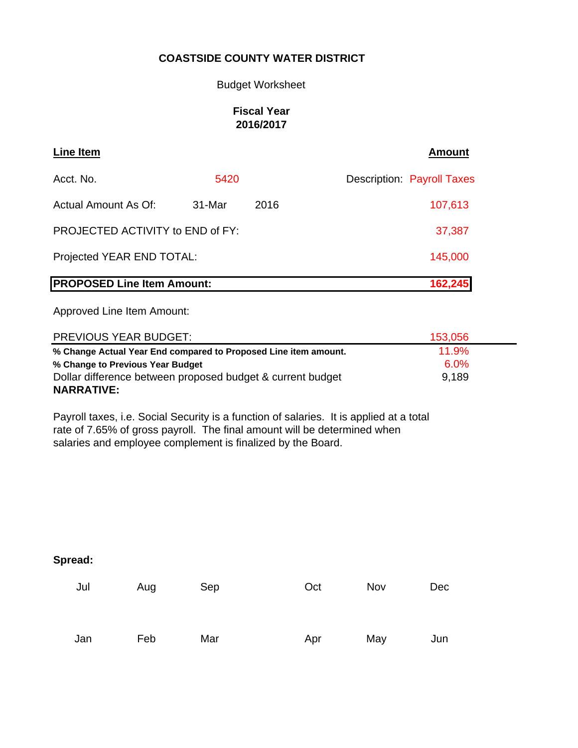## Budget Worksheet

## **Fiscal Year 2016/2017**

| Line Item                         |         |      | <b>Amount</b>                     |
|-----------------------------------|---------|------|-----------------------------------|
| Acct. No.                         | 5420    |      | <b>Description: Payroll Taxes</b> |
| Actual Amount As Of:              | 31-Mar  | 2016 | 107,613                           |
| PROJECTED ACTIVITY to END of FY:  | 37,387  |      |                                   |
| Projected YEAR END TOTAL:         | 145,000 |      |                                   |
| <b>PROPOSED Line Item Amount:</b> | 162,245 |      |                                   |

Approved Line Item Amount:

| <b>PREVIOUS YEAR BUDGET:</b>                                    | 153,056 |  |
|-----------------------------------------------------------------|---------|--|
| % Change Actual Year End compared to Proposed Line item amount. | 11.9%   |  |
| % Change to Previous Year Budget                                | $6.0\%$ |  |
| Dollar difference between proposed budget & current budget      | 9,189   |  |
| <b>NARRATIVE:</b>                                               |         |  |

Payroll taxes, i.e. Social Security is a function of salaries. It is applied at a total rate of 7.65% of gross payroll. The final amount will be determined when salaries and employee complement is finalized by the Board.

| Jul | Aug | Sep | Oct | Nov | <b>Dec</b> |
|-----|-----|-----|-----|-----|------------|
|     |     |     |     |     |            |
| Jan | Feb | Mar | Apr | May | Jun        |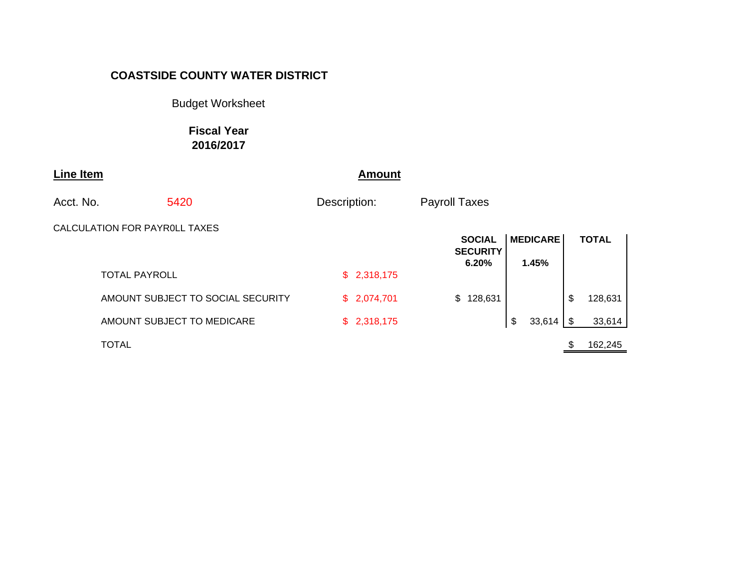Budget Worksheet

**Fiscal Year 2016/2017**

| <b>Line Item</b> |                               |                                   |              | <b>Amount</b> |                      |                                  |                 |            |              |  |
|------------------|-------------------------------|-----------------------------------|--------------|---------------|----------------------|----------------------------------|-----------------|------------|--------------|--|
| Acct. No.        |                               | 5420                              | Description: |               | <b>Payroll Taxes</b> |                                  |                 |            |              |  |
|                  | CALCULATION FOR PAYROLL TAXES |                                   |              |               |                      | <b>SOCIAL</b><br><b>SECURITY</b> | <b>MEDICARE</b> |            | <b>TOTAL</b> |  |
|                  | <b>TOTAL PAYROLL</b>          |                                   |              | \$2,318,175   |                      | 6.20%                            | 1.45%           |            |              |  |
|                  |                               | AMOUNT SUBJECT TO SOCIAL SECURITY |              | \$2,074,701   |                      | \$128,631                        |                 | \$         | 128,631      |  |
|                  |                               | AMOUNT SUBJECT TO MEDICARE        |              | \$2,318,175   |                      |                                  | \$<br>33,614    | $\sqrt{3}$ | 33,614       |  |
|                  | <b>TOTAL</b>                  |                                   |              |               |                      |                                  |                 |            | 162,245      |  |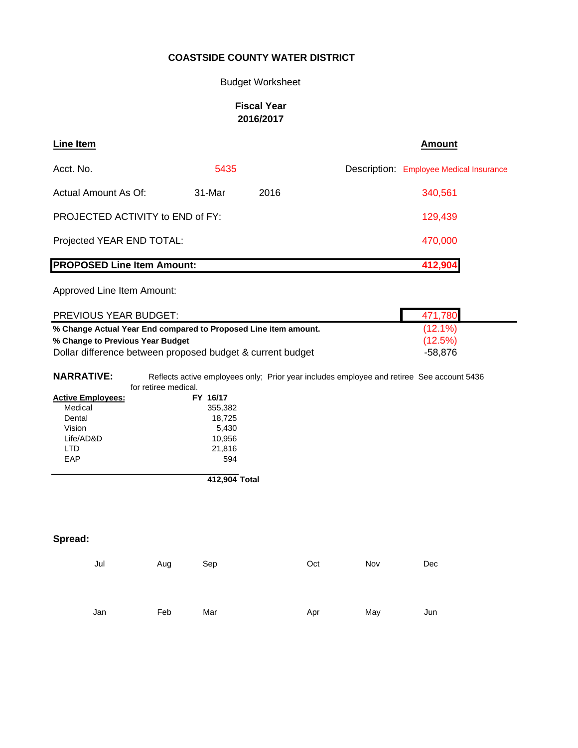#### Budget Worksheet

#### **Fiscal Year 2016/2017**

| Line Item                               |        |      | <b>Amount</b>                           |
|-----------------------------------------|--------|------|-----------------------------------------|
| Acct. No.                               | 5435   |      | Description: Employee Medical Insurance |
| Actual Amount As Of:                    | 31-Mar | 2016 | 340,561                                 |
| <b>PROJECTED ACTIVITY to END of FY:</b> |        |      | 129,439                                 |
| Projected YEAR END TOTAL:               |        |      | 470,000                                 |
| <b>PROPOSED Line Item Amount:</b>       |        |      | 412,904                                 |

Approved Line Item Amount:

| <b>PREVIOUS YEAR BUDGET:</b>                                    | 471,780    |
|-----------------------------------------------------------------|------------|
| % Change Actual Year End compared to Proposed Line item amount. | $(12.1\%)$ |
| % Change to Previous Year Budget                                | $(12.5\%)$ |
| Dollar difference between proposed budget & current budget      | -58.876    |

**NARRATIVE:** Reflects active employees only; Prior year includes employee and retiree See account 5436 for retiree medical.

| <b>Active Employees:</b> | FY 16/17 |
|--------------------------|----------|
| Medical                  | 355,382  |
| Dental                   | 18,725   |
| Vision                   | 5,430    |
| Life/AD&D                | 10,956   |
| חד ו                     | 21,816   |
| FAP                      | 594      |
|                          |          |

**412,904 Total**

| Jul | Aug | Sep | Oct | Nov | Dec |
|-----|-----|-----|-----|-----|-----|
| Jan | Feb | Mar | Apr | May | Jun |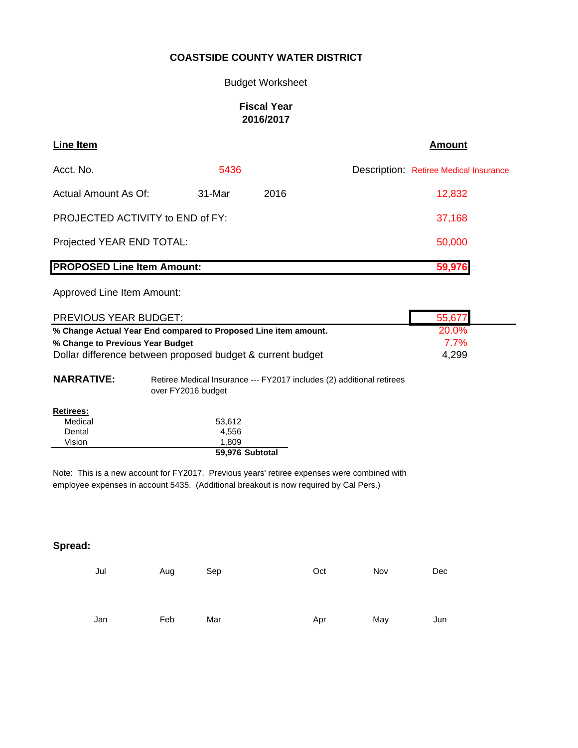Budget Worksheet

#### **Fiscal Year 2016/2017**

| Line Item                               |        |      | <b>Amount</b>                                 |
|-----------------------------------------|--------|------|-----------------------------------------------|
| Acct. No.                               | 5436   |      | <b>Description: Retiree Medical Insurance</b> |
| Actual Amount As Of:                    | 31-Mar | 2016 | 12,832                                        |
| <b>PROJECTED ACTIVITY to END of FY:</b> |        |      | 37,168                                        |
| Projected YEAR END TOTAL:               |        |      | 50,000                                        |
| <b>PROPOSED Line Item Amount:</b>       |        |      | 59,976                                        |

Approved Line Item Amount:

| <b>PREVIOUS YEAR BUDGET:</b>                                    | 55,677       |
|-----------------------------------------------------------------|--------------|
| % Change Actual Year End compared to Proposed Line item amount. | <b>20.0%</b> |
| % Change to Previous Year Budget                                | $7.7\%$      |
| Dollar difference between proposed budget & current budget      | 4,299        |

| <b>NARRATIVE:</b> | Retiree Medical Insurance --- FY2017 includes (2) additional retirees |
|-------------------|-----------------------------------------------------------------------|
|                   | over FY2016 budget                                                    |
|                   |                                                                       |

| <b>Retirees:</b> |                 |
|------------------|-----------------|
| Medical          | 53,612          |
| Dental           | 4,556           |
| Vision           | 1.809           |
|                  | 59,976 Subtotal |

Note: This is a new account for FY2017. Previous years' retiree expenses were combined with employee expenses in account 5435. (Additional breakout is now required by Cal Pers.)

| Jun |
|-----|
|     |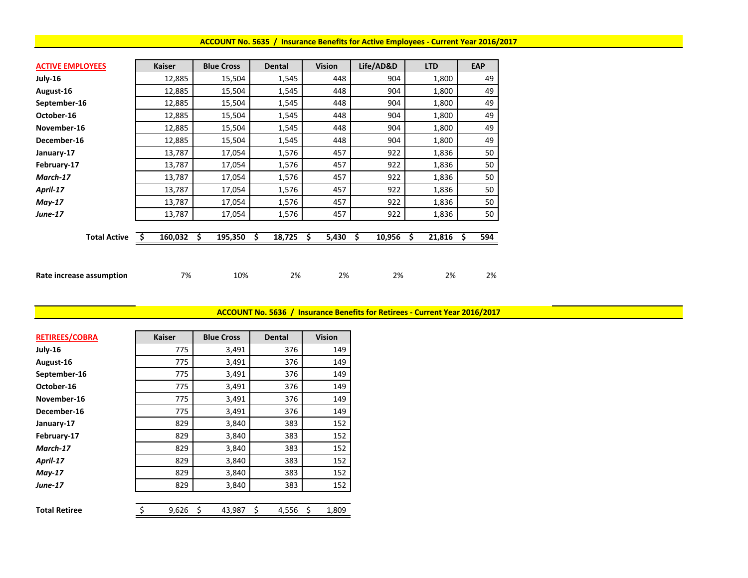#### **ACCOUNT No. 5635 / Insurance Benefits for Active Employees ‐ Current Year 2016/2017**

| <b>ACTIVE EMPLOYEES</b>  | <b>Kaiser</b> | <b>Blue Cross</b> | <b>Dental</b> | <b>Vision</b> | Life/AD&D    | <b>LTD</b>   | <b>EAP</b> |
|--------------------------|---------------|-------------------|---------------|---------------|--------------|--------------|------------|
| July-16                  | 12,885        | 15,504            | 1,545         | 448           | 904          | 1,800        | 49         |
| August-16                | 12,885        | 15,504            | 1,545         | 448           | 904          | 1,800        | 49         |
| September-16             | 12,885        | 15,504            | 1,545         | 448           | 904          | 1,800        | 49         |
| October-16               | 12,885        | 15,504            | 1,545         | 448           | 904          | 1,800        | 49         |
| November-16              | 12,885        | 15,504            | 1,545         | 448           | 904          | 1,800        | 49         |
| December-16              | 12,885        | 15,504            | 1,545         | 448           | 904          | 1,800        | 49         |
| January-17               | 13,787        | 17,054            | 1,576         | 457           | 922          | 1,836        | 50         |
| February-17              | 13,787        | 17,054            | 1,576         | 457           | 922          | 1,836        | 50         |
| March-17                 | 13,787        | 17,054            | 1,576         | 457           | 922          | 1,836        | 50         |
| April-17                 | 13,787        | 17,054            | 1,576         | 457           | 922          | 1,836        | 50         |
| $May-17$                 | 13,787        | 17,054            | 1,576         | 457           | 922          | 1,836        | 50         |
| <b>June-17</b>           | 13,787        | 17,054            | 1,576         | 457           | 922          | 1,836        | 50         |
|                          |               |                   |               |               |              |              |            |
| <b>Total Active</b>      | 160,032<br>-S | 195,350<br>\$     | 18,725<br>\$  | \$<br>5,430   | 10,956<br>\$ | 21,816<br>\$ | 594<br>s   |
|                          |               |                   |               |               |              |              |            |
|                          |               |                   |               |               |              |              |            |
| Rate increase assumption | 7%            | 10%               | 2%            | 2%            | 2%           | 2%           | 2%         |

**ACCOUNT No. 5636 / Insurance Benefits for Retirees ‐ Current Year 2016/2017**

| <b>RETIREES/COBRA</b> | <b>Kaiser</b> | <b>Blue Cross</b> | <b>Dental</b> | <b>Vision</b> |
|-----------------------|---------------|-------------------|---------------|---------------|
| July-16               | 775           | 3,491             | 376           | 149           |
| August-16             | 775           | 3,491             | 376           | 149           |
| September-16          | 775           | 3,491             | 376           | 149           |
| October-16            | 775           | 3,491             | 376           | 149           |
| November-16           | 775           | 3,491             | 376           | 149           |
| December-16           | 775           | 3,491             | 376           | 149           |
| January-17            | 829           | 3,840             | 383           | 152           |
| February-17           | 829           | 3,840             | 383           | 152           |
| March-17              | 829           | 3,840             | 383           | 152           |
| April-17              | 829           | 3,840             | 383           | 152           |
| $May-17$              | 829           | 3,840             | 383           | 152           |
| <b>June-17</b>        | 829           | 3,840             | 383           | 152           |
|                       |               |                   |               |               |
| <b>Total Retiree</b>  | \$<br>9,626   | \$<br>43,987      | \$<br>4,556   | \$<br>1,809   |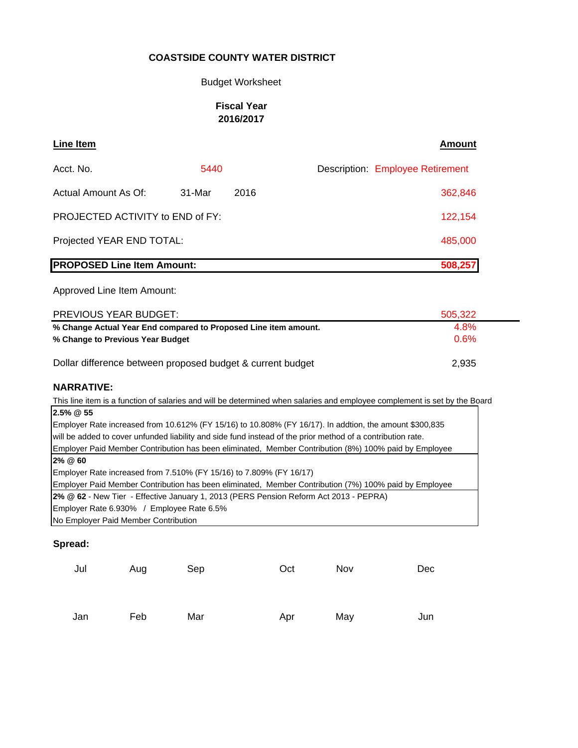#### Budget Worksheet

#### **Fiscal Year 2016/2017**

| Line Item                         |        |      | <b>Amount</b>                           |
|-----------------------------------|--------|------|-----------------------------------------|
| Acct. No.                         | 5440   |      | <b>Description: Employee Retirement</b> |
| Actual Amount As Of:              | 31-Mar | 2016 | 362,846                                 |
| PROJECTED ACTIVITY to END of FY:  |        |      | 122,154                                 |
| Projected YEAR END TOTAL:         |        |      | 485,000                                 |
| <b>PROPOSED Line Item Amount:</b> |        |      | 508,257                                 |

Approved Line Item Amount:

| <b>PREVIOUS YEAR BUDGET:</b>                                    | 505,322 |
|-----------------------------------------------------------------|---------|
| % Change Actual Year End compared to Proposed Line item amount. | 4.8%    |
| % Change to Previous Year Budget                                | 0.6%    |
|                                                                 |         |
| Dollar difference between proposed budget & current budget      | 2.935   |

#### **NARRATIVE:**

This line item is a function of salaries and will be determined when salaries and employee complement is set by the Board **2.5% @ 55** Employer Rate increased from 10.612% (FY 15/16) to 10.808% (FY 16/17). In addtion, the amount \$300,835 will be added to cover unfunded liability and side fund instead of the prior method of a contribution rate. Employer Paid Member Contribution has been eliminated, Member Contribution (8%) 100% paid by Employee **2% @ 60** Employer Rate increased from 7.510% (FY 15/16) to 7.809% (FY 16/17) Employer Paid Member Contribution has been eliminated, Member Contribution (7%) 100% paid by Employee

**2% @ 62** - New Tier - Effective January 1, 2013 (PERS Pension Reform Act 2013 - PEPRA)

Employer Rate 6.930% / Employee Rate 6.5%

No Employer Paid Member Contribution

| Jul | Aug | Sep | Oct | Nov | Dec |
|-----|-----|-----|-----|-----|-----|
|     |     |     |     |     |     |
| Jan | Feb | Mar | Apr | May | Jun |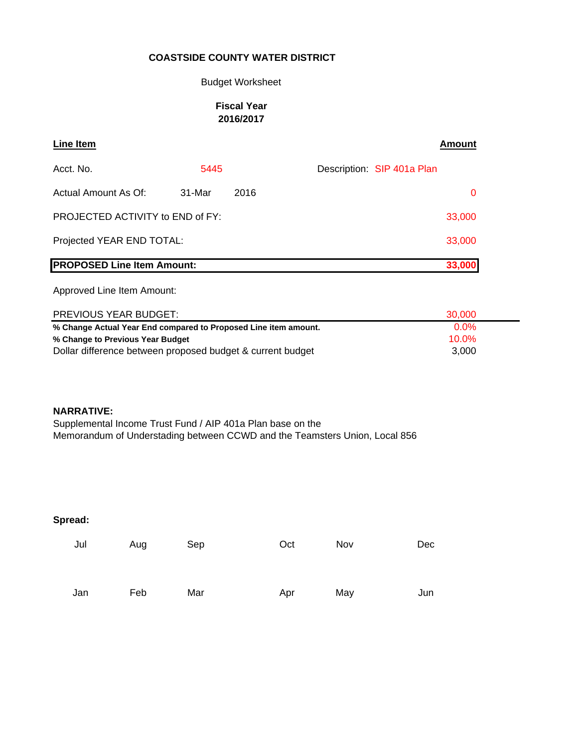#### Budget Worksheet

#### **Fiscal Year 2016/2017**

| <b>Line Item</b>                        |        |      |  |                            | Amount |
|-----------------------------------------|--------|------|--|----------------------------|--------|
| Acct. No.                               | 5445   |      |  | Description: SIP 401a Plan |        |
| Actual Amount As Of:                    | 31-Mar | 2016 |  |                            | 0      |
| <b>PROJECTED ACTIVITY to END of FY:</b> |        |      |  |                            | 33,000 |
| Projected YEAR END TOTAL:               |        |      |  |                            | 33,000 |
| <b>PROPOSED Line Item Amount:</b>       |        |      |  |                            | 33,000 |

Approved Line Item Amount:

| <b>PREVIOUS YEAR BUDGET:</b>                                    | 30.000   |
|-----------------------------------------------------------------|----------|
| % Change Actual Year End compared to Proposed Line item amount. | $0.0\%$  |
| % Change to Previous Year Budget                                | $10.0\%$ |
| Dollar difference between proposed budget & current budget      | 3.000    |

#### **NARRATIVE:**

Supplemental Income Trust Fund / AIP 401a Plan base on the Memorandum of Understading between CCWD and the Teamsters Union, Local 856

| Jul | Aug | Sep | Oct | Nov | Dec |
|-----|-----|-----|-----|-----|-----|
| Jan | Feb | Mar | Apr | May | Jun |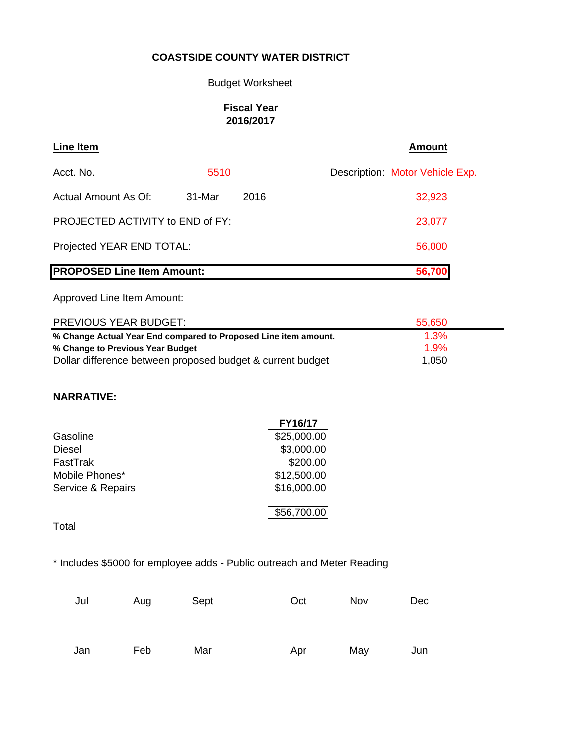## Budget Worksheet

## **Fiscal Year 2016/2017**

| Line Item                         |        |      | <b>Amount</b>                   |
|-----------------------------------|--------|------|---------------------------------|
| Acct. No.                         | 5510   |      | Description: Motor Vehicle Exp. |
| Actual Amount As Of:              | 31-Mar | 2016 | 32,923                          |
| PROJECTED ACTIVITY to END of FY:  |        |      | 23,077                          |
| Projected YEAR END TOTAL:         |        |      | 56,000                          |
| <b>PROPOSED Line Item Amount:</b> |        |      | 56,700                          |

Approved Line Item Amount:

| PREVIOUS YEAR BUDGET:                                           | 55,650 |  |
|-----------------------------------------------------------------|--------|--|
| % Change Actual Year End compared to Proposed Line item amount. | 1.3%   |  |
| % Change to Previous Year Budget                                | 1.9%   |  |
| Dollar difference between proposed budget & current budget      | 1,050  |  |

## **NARRATIVE:**

|                   | FY16/17     |
|-------------------|-------------|
| Gasoline          | \$25,000.00 |
| Diesel            | \$3,000.00  |
| FastTrak          | \$200.00    |
| Mobile Phones*    | \$12,500.00 |
| Service & Repairs | \$16,000.00 |
|                   |             |
|                   | \$56,700.00 |
|                   |             |

Total

\* Includes \$5000 for employee adds - Public outreach and Meter Reading

| Jul | Aug | Sept | Oct | Nov | Dec |
|-----|-----|------|-----|-----|-----|
| Jan | Feb | Mar  | Apr | May | Jun |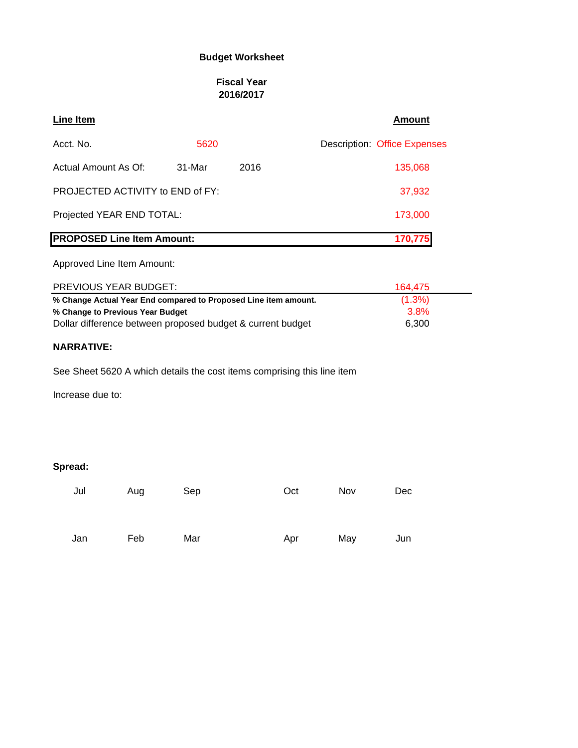## **Budget Worksheet**

#### **Fiscal Year 2016/2017**

| <b>Line Item</b>                        |          |      | <b>Amount</b>                       |
|-----------------------------------------|----------|------|-------------------------------------|
| Acct. No.                               | 5620     |      | <b>Description: Office Expenses</b> |
| Actual Amount As Of:                    | $31-Mar$ | 2016 | 135,068                             |
| <b>PROJECTED ACTIVITY to END of FY:</b> |          |      | 37,932                              |
| Projected YEAR END TOTAL:               | 173,000  |      |                                     |
| <b>PROPOSED Line Item Amount:</b>       |          |      | 170.775                             |

## Approved Line Item Amount:

| PREVIOUS YEAR BUDGET:                                           | 164.475   |
|-----------------------------------------------------------------|-----------|
| % Change Actual Year End compared to Proposed Line item amount. | $(1.3\%)$ |
| % Change to Previous Year Budget                                | 3.8%      |
| Dollar difference between proposed budget & current budget      | 6.300     |

#### **NARRATIVE:**

See Sheet 5620 A which details the cost items comprising this line item

Increase due to:

| Jul | Aug | Sep | Oct | Nov | Dec |
|-----|-----|-----|-----|-----|-----|
|     |     |     |     |     |     |
| Jan | Feb | Mar | Apr | May | Jun |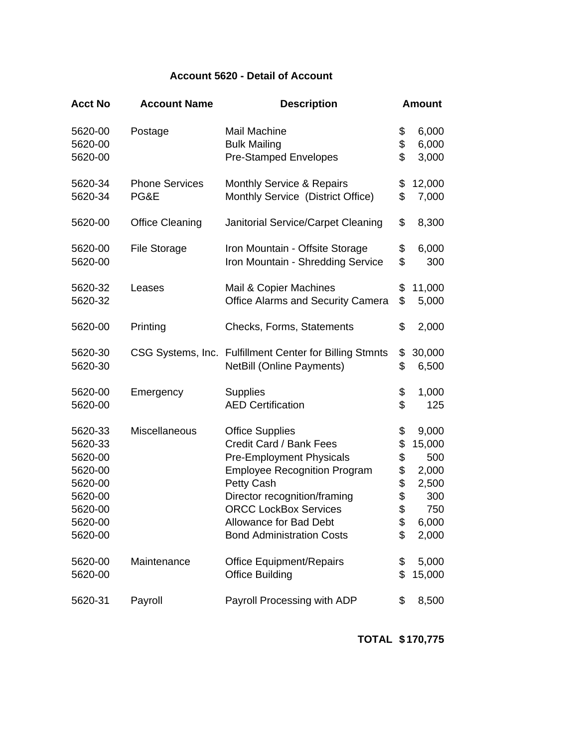# **Account 5620 - Detail of Account**

| <b>Acct No</b> | <b>Account Name</b>    | <b>Description</b>                                      | <b>Amount</b> |
|----------------|------------------------|---------------------------------------------------------|---------------|
| 5620-00        | Postage                | <b>Mail Machine</b>                                     | \$<br>6,000   |
| 5620-00        |                        | <b>Bulk Mailing</b>                                     | \$<br>6,000   |
| 5620-00        |                        | <b>Pre-Stamped Envelopes</b>                            | \$<br>3,000   |
| 5620-34        | <b>Phone Services</b>  | <b>Monthly Service &amp; Repairs</b>                    | \$<br>12,000  |
| 5620-34        | PG&E                   | Monthly Service (District Office)                       | \$<br>7,000   |
| 5620-00        | <b>Office Cleaning</b> | Janitorial Service/Carpet Cleaning                      | \$<br>8,300   |
| 5620-00        | <b>File Storage</b>    | Iron Mountain - Offsite Storage                         | \$<br>6,000   |
| 5620-00        |                        | Iron Mountain - Shredding Service                       | \$<br>300     |
| 5620-32        | Leases                 | Mail & Copier Machines                                  | \$<br>11,000  |
| 5620-32        |                        | <b>Office Alarms and Security Camera</b>                | \$<br>5,000   |
| 5620-00        | Printing               | Checks, Forms, Statements                               | \$<br>2,000   |
| 5620-30        |                        | CSG Systems, Inc. Fulfillment Center for Billing Stmnts | \$<br>30,000  |
| 5620-30        |                        | <b>NetBill (Online Payments)</b>                        | \$<br>6,500   |
| 5620-00        | Emergency              | <b>Supplies</b>                                         | \$<br>1,000   |
| 5620-00        |                        | <b>AED Certification</b>                                | \$<br>125     |
| 5620-33        | Miscellaneous          | <b>Office Supplies</b>                                  | \$<br>9,000   |
| 5620-33        |                        | Credit Card / Bank Fees                                 | \$<br>15,000  |
| 5620-00        |                        | <b>Pre-Employment Physicals</b>                         | \$<br>500     |
| 5620-00        |                        | <b>Employee Recognition Program</b>                     | \$<br>2,000   |
| 5620-00        |                        | Petty Cash                                              | \$<br>2,500   |
| 5620-00        |                        | Director recognition/framing                            | \$<br>300     |
| 5620-00        |                        | <b>ORCC LockBox Services</b>                            | \$<br>750     |
| 5620-00        |                        | <b>Allowance for Bad Debt</b>                           | \$<br>6,000   |
| 5620-00        |                        | <b>Bond Administration Costs</b>                        | \$<br>2,000   |
| 5620-00        | Maintenance            | <b>Office Equipment/Repairs</b>                         | \$<br>5,000   |
| 5620-00        |                        | <b>Office Building</b>                                  | \$<br>15,000  |
| 5620-31        | Payroll                | Payroll Processing with ADP                             | \$<br>8,500   |

**TOTAL \$170,775**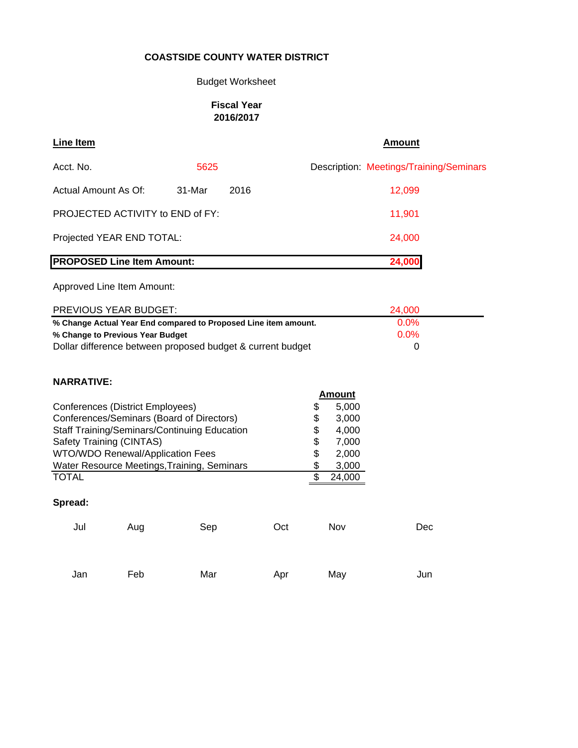## Budget Worksheet

## **Fiscal Year 2016/2017**

| <b>Line Item</b>                        |                | <b>Amount</b>                           |
|-----------------------------------------|----------------|-----------------------------------------|
| Acct. No.                               | 5625           | Description: Meetings/Training/Seminars |
| Actual Amount As Of:                    | 31-Mar<br>2016 | 12,099                                  |
| <b>PROJECTED ACTIVITY to END of FY:</b> |                | 11,901                                  |
| Projected YEAR END TOTAL:               |                | 24,000                                  |
| <b>PROPOSED Line Item Amount:</b>       |                | 24,000                                  |

Approved Line Item Amount:

| <b>PREVIOUS YEAR BUDGET:</b>                                    | 24,000  |
|-----------------------------------------------------------------|---------|
| % Change Actual Year End compared to Proposed Line item amount. | $0.0\%$ |
| % Change to Previous Year Budget                                | $0.0\%$ |
| Dollar difference between proposed budget & current budget      |         |

## **NARRATIVE:**

|         |                                         |                                                     |     | <b>Amount</b> |       |
|---------|-----------------------------------------|-----------------------------------------------------|-----|---------------|-------|
|         | Conferences (District Employees)        |                                                     |     | \$            | 5,000 |
|         |                                         | Conferences/Seminars (Board of Directors)           |     | \$            | 3,000 |
|         |                                         | <b>Staff Training/Seminars/Continuing Education</b> |     | \$            | 4,000 |
|         | Safety Training (CINTAS)                |                                                     |     | \$            | 7,000 |
|         | <b>WTO/WDO Renewal/Application Fees</b> |                                                     |     | \$            | 2,000 |
|         |                                         | Water Resource Meetings, Training, Seminars         |     | \$            | 3,000 |
| TOTAL   |                                         |                                                     |     | \$<br>24,000  |       |
|         |                                         |                                                     |     |               |       |
| Spread: |                                         |                                                     |     |               |       |
| Jul     | Aug                                     | Sep                                                 | Oct | Nov           | Dec   |
|         |                                         |                                                     |     |               |       |
|         |                                         |                                                     |     |               |       |
| Jan     | Feb                                     | Mar                                                 | Apr | May           | Jun   |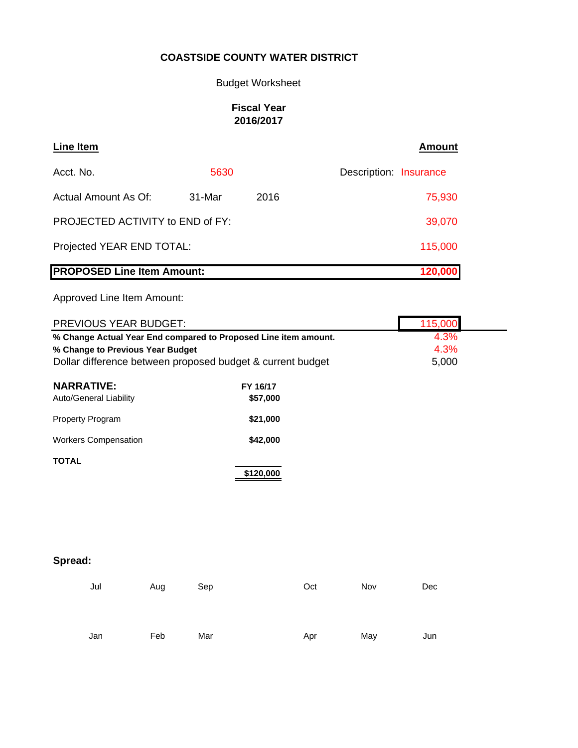Budget Worksheet

## **Fiscal Year 2016/2017**

| Line Item                               |        |      | <b>Amount</b>          |
|-----------------------------------------|--------|------|------------------------|
| Acct. No.                               | 5630   |      | Description: Insurance |
| Actual Amount As Of:                    | 31-Mar | 2016 | 75,930                 |
| <b>PROJECTED ACTIVITY to END of FY:</b> |        |      | 39,070                 |
| Projected YEAR END TOTAL:               |        |      | 115,000                |
| <b>PROPOSED Line Item Amount:</b>       |        |      | 120,000                |

Approved Line Item Amount:

| PREVIOUS YEAR BUDGET:                                                                                                                                             |     |     |                      |     |     | 115,000               |  |
|-------------------------------------------------------------------------------------------------------------------------------------------------------------------|-----|-----|----------------------|-----|-----|-----------------------|--|
| % Change Actual Year End compared to Proposed Line item amount.<br>% Change to Previous Year Budget<br>Dollar difference between proposed budget & current budget |     |     |                      |     |     | 4.3%<br>4.3%<br>5,000 |  |
| <b>NARRATIVE:</b><br>Auto/General Liability                                                                                                                       |     |     | FY 16/17<br>\$57,000 |     |     |                       |  |
| Property Program                                                                                                                                                  |     |     | \$21,000             |     |     |                       |  |
| <b>Workers Compensation</b>                                                                                                                                       |     |     | \$42,000             |     |     |                       |  |
| <b>TOTAL</b>                                                                                                                                                      |     |     | \$120,000            |     |     |                       |  |
| Spread:                                                                                                                                                           |     |     |                      |     |     |                       |  |
| Jul                                                                                                                                                               | Aug | Sep |                      | Oct | Nov | Dec                   |  |

Jan Feb Mar Apr May Jun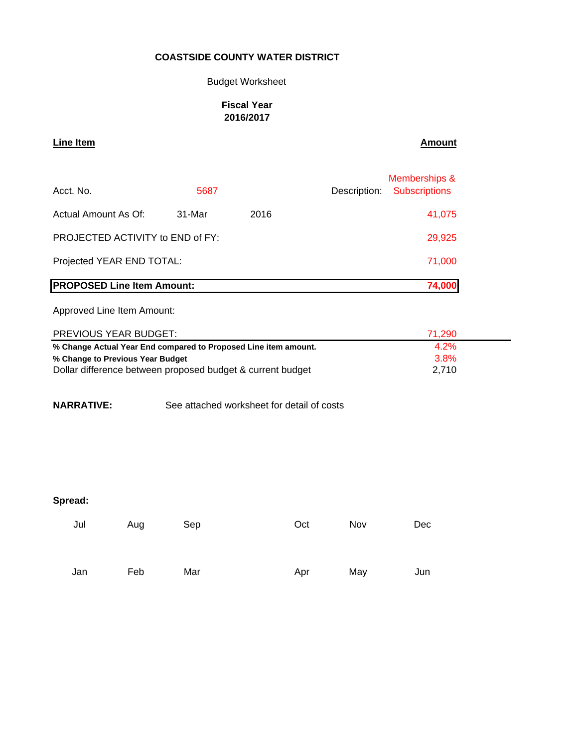## Budget Worksheet

#### **Fiscal Year 2016/2017**

#### **Line Item Amount**

| Acct. No.                         | 5687   |      | Memberships &<br>Description: Subscriptions |
|-----------------------------------|--------|------|---------------------------------------------|
| Actual Amount As Of:              | 31-Mar | 2016 | 41,075                                      |
| PROJECTED ACTIVITY to END of FY:  | 29,925 |      |                                             |
| Projected YEAR END TOTAL:         | 71,000 |      |                                             |
| <b>PROPOSED Line Item Amount:</b> |        |      | 74,000                                      |

Approved Line Item Amount:

| PREVIOUS YEAR BUDGET:                                           | 71.290  |  |
|-----------------------------------------------------------------|---------|--|
| % Change Actual Year End compared to Proposed Line item amount. | 4.2%    |  |
| % Change to Previous Year Budget                                | $3.8\%$ |  |
| Dollar difference between proposed budget & current budget      | 2.710   |  |

**NARRATIVE:** See attached worksheet for detail of costs

| Jul | Aug | Sep | Oct | Nov | Dec |
|-----|-----|-----|-----|-----|-----|
|     |     |     |     |     |     |
| Jan | Feb | Mar | Apr | May | Jun |
|     |     |     |     |     |     |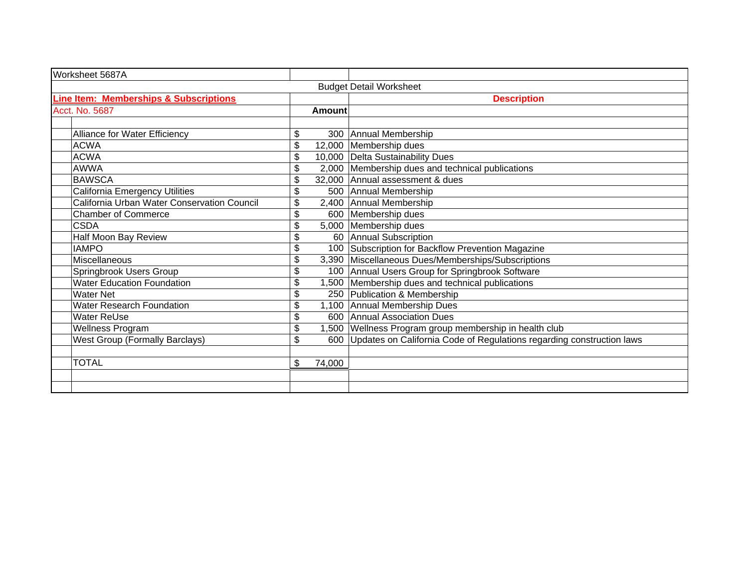| Worksheet 5687A                                   |               |                                                                           |
|---------------------------------------------------|---------------|---------------------------------------------------------------------------|
|                                                   |               | <b>Budget Detail Worksheet</b>                                            |
| <b>Line Item: Memberships &amp; Subscriptions</b> |               | <b>Description</b>                                                        |
| Acct. No. 5687                                    | <b>Amount</b> |                                                                           |
|                                                   |               |                                                                           |
| Alliance for Water Efficiency                     | \$            | 300 Annual Membership                                                     |
| <b>ACWA</b>                                       | \$            | 12,000 Membership dues                                                    |
| <b>ACWA</b>                                       | \$            | 10,000 Delta Sustainability Dues                                          |
| <b>AWWA</b>                                       | \$            | 2,000 Membership dues and technical publications                          |
| <b>BAWSCA</b>                                     | \$            | 32,000 Annual assessment & dues                                           |
| California Emergency Utilities                    | \$            | 500 Annual Membership                                                     |
| California Urban Water Conservation Council       | \$            | 2,400 Annual Membership                                                   |
| <b>Chamber of Commerce</b>                        | \$            | 600 Membership dues                                                       |
| CSDA                                              | \$            | 5,000 Membership dues                                                     |
| Half Moon Bay Review                              | \$            | 60 Annual Subscription                                                    |
| <b>IAMPO</b>                                      | \$            | 100 Subscription for Backflow Prevention Magazine                         |
| <b>Miscellaneous</b>                              | \$            | 3,390 Miscellaneous Dues/Memberships/Subscriptions                        |
| Springbrook Users Group                           | \$            | 100 Annual Users Group for Springbrook Software                           |
| <b>Water Education Foundation</b>                 | \$            | 1,500 Membership dues and technical publications                          |
| <b>Water Net</b>                                  | \$            | 250 Publication & Membership                                              |
| Water Research Foundation                         | \$            | 1,100 Annual Membership Dues                                              |
| <b>Water ReUse</b>                                | \$            | 600 Annual Association Dues                                               |
| Wellness Program                                  | \$            | 1,500 Wellness Program group membership in health club                    |
| <b>West Group (Formally Barclays)</b>             | \$            | 600 Updates on California Code of Regulations regarding construction laws |
|                                                   |               |                                                                           |
| <b>TOTAL</b>                                      | \$<br>74,000  |                                                                           |
|                                                   |               |                                                                           |
|                                                   |               |                                                                           |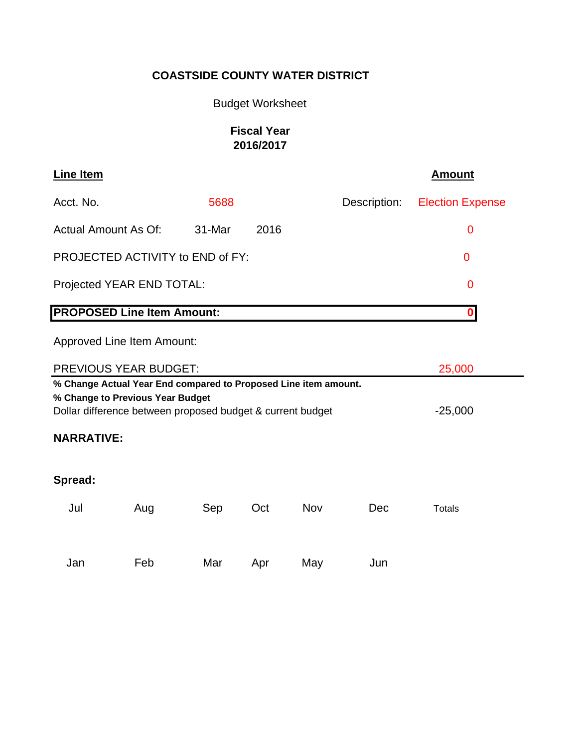# Budget Worksheet

# **Fiscal Year 2016/2017**

| <b>Line Item</b>                                                                                                                                                  |     |        |      |     |              | <b>Amount</b>           |  |
|-------------------------------------------------------------------------------------------------------------------------------------------------------------------|-----|--------|------|-----|--------------|-------------------------|--|
| Acct. No.                                                                                                                                                         |     | 5688   |      |     | Description: | <b>Election Expense</b> |  |
| <b>Actual Amount As Of:</b>                                                                                                                                       |     | 31-Mar | 2016 |     |              | $\mathbf 0$             |  |
| PROJECTED ACTIVITY to END of FY:                                                                                                                                  |     |        |      |     |              | $\overline{0}$          |  |
| Projected YEAR END TOTAL:                                                                                                                                         |     |        |      |     |              | 0                       |  |
| <b>PROPOSED Line Item Amount:</b>                                                                                                                                 |     |        |      |     |              | 0                       |  |
| <b>Approved Line Item Amount:</b>                                                                                                                                 |     |        |      |     |              |                         |  |
| <b>PREVIOUS YEAR BUDGET:</b>                                                                                                                                      |     |        |      |     |              | 25,000                  |  |
| % Change Actual Year End compared to Proposed Line item amount.<br>% Change to Previous Year Budget<br>Dollar difference between proposed budget & current budget |     |        |      |     |              | $-25,000$               |  |
| <b>NARRATIVE:</b>                                                                                                                                                 |     |        |      |     |              |                         |  |
| Spread:                                                                                                                                                           |     |        |      |     |              |                         |  |
| Jul                                                                                                                                                               | Aug | Sep    | Oct  | Nov | Dec          | <b>Totals</b>           |  |
|                                                                                                                                                                   |     |        |      |     |              |                         |  |
| Jan                                                                                                                                                               | Feb | Mar    | Apr  | May | Jun          |                         |  |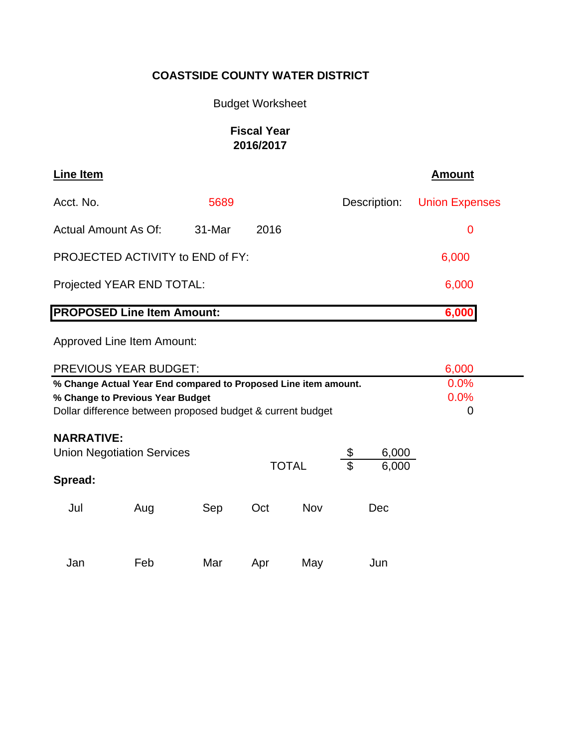# Budget Worksheet

# **Fiscal Year 2016/2017**

| Line Item                         |        |       |              | <b>Amount</b>         |
|-----------------------------------|--------|-------|--------------|-----------------------|
| Acct. No.                         | 5689   |       | Description: | <b>Union Expenses</b> |
| Actual Amount As Of:              | 31-Mar | 2016  |              | 0                     |
| PROJECTED ACTIVITY to END of FY:  |        |       |              | 6,000                 |
| Projected YEAR END TOTAL:         |        |       |              | 6,000                 |
| <b>PROPOSED Line Item Amount:</b> |        | 6,000 |              |                       |

Approved Line Item Amount:

| <b>PREVIOUS YEAR BUDGET:</b>                                                                                                                                      | 6,000             |     |     |     |  |     |  |  |
|-------------------------------------------------------------------------------------------------------------------------------------------------------------------|-------------------|-----|-----|-----|--|-----|--|--|
| % Change Actual Year End compared to Proposed Line item amount.<br>% Change to Previous Year Budget<br>Dollar difference between proposed budget & current budget | 0.0%<br>0.0%<br>0 |     |     |     |  |     |  |  |
| <b>NARRATIVE:</b><br>6,000<br><b>Union Negotiation Services</b><br>\$<br><b>TOTAL</b><br>6,000                                                                    |                   |     |     |     |  |     |  |  |
| Spread:                                                                                                                                                           |                   |     |     |     |  |     |  |  |
| Jul                                                                                                                                                               | Aug               | Sep | Oct | Nov |  | Dec |  |  |
| Jan                                                                                                                                                               | Feb               | Mar | Apr | May |  | Jun |  |  |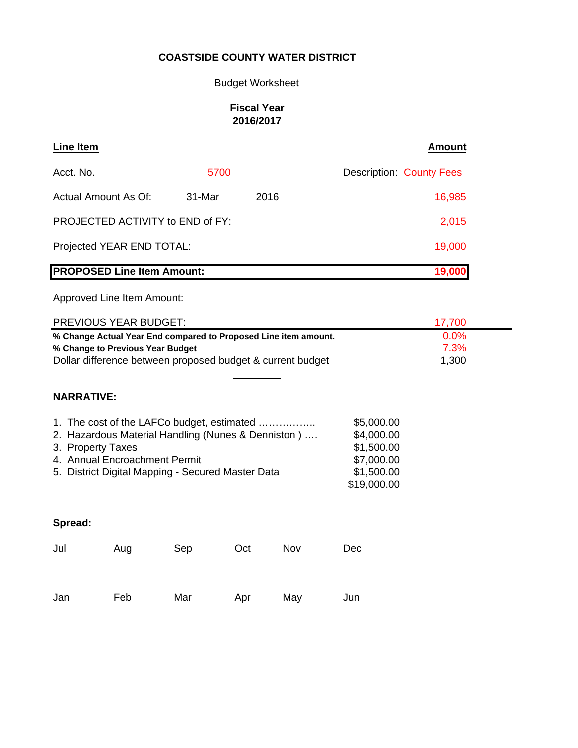## Budget Worksheet

## **Fiscal Year 2016/2017**

| Line Item                         |        |      | <b>Amount</b>                   |
|-----------------------------------|--------|------|---------------------------------|
| Acct. No.                         | 5700   |      | <b>Description: County Fees</b> |
| Actual Amount As Of:              | 31-Mar | 2016 | 16,985                          |
| PROJECTED ACTIVITY to END of FY:  | 2,015  |      |                                 |
| Projected YEAR END TOTAL:         | 19,000 |      |                                 |
| <b>PROPOSED Line Item Amount:</b> | 19,000 |      |                                 |

Approved Line Item Amount:

| PREVIOUS YEAR BUDGET:                                                                                                                                                                                                                                                                            |     |     |     |     |                       | 17,700 |
|--------------------------------------------------------------------------------------------------------------------------------------------------------------------------------------------------------------------------------------------------------------------------------------------------|-----|-----|-----|-----|-----------------------|--------|
| % Change Actual Year End compared to Proposed Line item amount.<br>% Change to Previous Year Budget<br>Dollar difference between proposed budget & current budget                                                                                                                                |     |     |     |     | 0.0%<br>7.3%<br>1,300 |        |
| <b>NARRATIVE:</b>                                                                                                                                                                                                                                                                                |     |     |     |     |                       |        |
| 1. The cost of the LAFCo budget, estimated<br>\$5,000.00<br>2. Hazardous Material Handling (Nunes & Denniston)<br>\$4,000.00<br>\$1,500.00<br>3. Property Taxes<br>4. Annual Encroachment Permit<br>\$7,000.00<br>\$1,500.00<br>5. District Digital Mapping - Secured Master Data<br>\$19,000.00 |     |     |     |     |                       |        |
| Spread:                                                                                                                                                                                                                                                                                          |     |     |     |     |                       |        |
| Jul                                                                                                                                                                                                                                                                                              | Aug | Sep | Oct | Nov | Dec                   |        |
| Jan                                                                                                                                                                                                                                                                                              | Feb | Mar | Apr | May | Jun                   |        |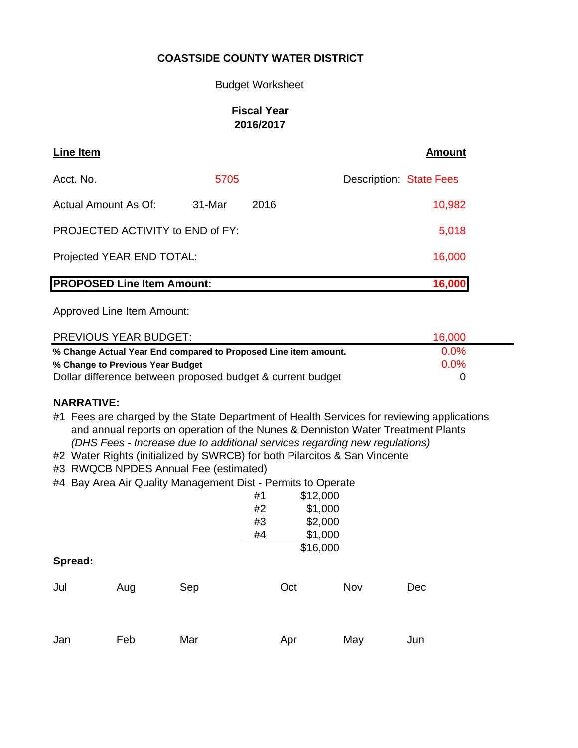#### Budget Worksheet

## **Fiscal Year 2016/2017**

| <b>Line Item</b>                  |        |      | <b>Amount</b>                  |  |
|-----------------------------------|--------|------|--------------------------------|--|
| Acct. No.                         | 5705   |      | <b>Description: State Fees</b> |  |
| Actual Amount As Of:              | 31-Mar | 2016 | 10,982                         |  |
| PROJECTED ACTIVITY to END of FY:  | 5,018  |      |                                |  |
| Projected YEAR END TOTAL:         |        |      |                                |  |
| <b>PROPOSED Line Item Amount:</b> |        |      | 16,000                         |  |

Approved Line Item Amount:

| <b>PREVIOUS YEAR BUDGET:</b>                                    | 16,000  |  |
|-----------------------------------------------------------------|---------|--|
| % Change Actual Year End compared to Proposed Line item amount. | $0.0\%$ |  |
| % Change to Previous Year Budget                                | $0.0\%$ |  |
| Dollar difference between proposed budget & current budget      |         |  |

#### **NARRATIVE:**

- #1 Fees are charged by the State Department of Health Services for reviewing applications and annual reports on operation of the Nunes & Denniston Water Treatment Plants  *(DHS Fees - Increase due to additional services regarding new regulations)*
- #2 Water Rights (initialized by SWRCB) for both Pilarcitos & San Vincente
- #3 RWQCB NPDES Annual Fee (estimated)
- #4 Bay Area Air Quality Management Dist Permits to Operate

|         |     |     | #1<br>#2<br>#3 | \$12,000<br>\$1,000<br>\$2,000 |     |     |
|---------|-----|-----|----------------|--------------------------------|-----|-----|
| Spread: |     |     | #4             | \$1,000<br>\$16,000            |     |     |
| Jul     | Aug | Sep |                | Oct                            | Nov | Dec |
| Jan     | Feb | Mar |                | Apr                            | May | Jun |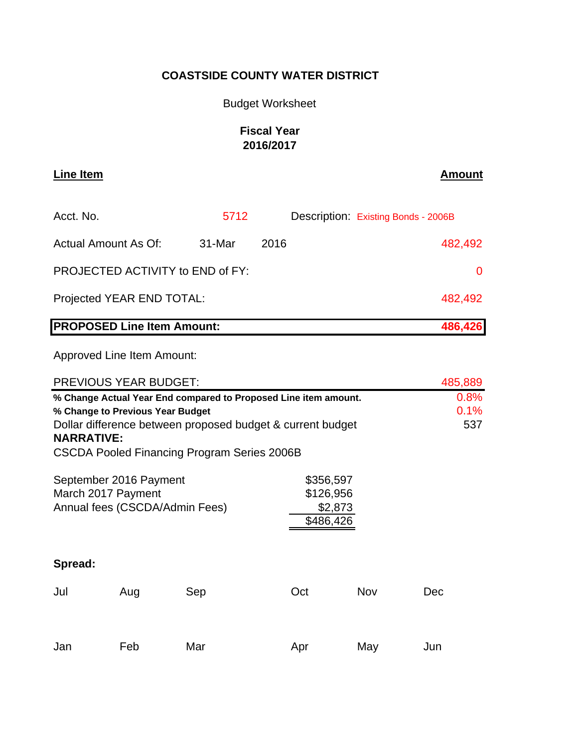# Budget Worksheet

# **Fiscal Year 2016/2017**

| <b>Line Item</b>                  |        |      | <b>Amount</b>                       |  |
|-----------------------------------|--------|------|-------------------------------------|--|
| Acct. No.                         | 5712   |      | Description: Existing Bonds - 2006B |  |
| Actual Amount As Of:              | 31-Mar | 2016 | 482,492                             |  |
| PROJECTED ACTIVITY to END of FY:  |        |      |                                     |  |
| Projected YEAR END TOTAL:         |        |      | 482,492                             |  |
| <b>PROPOSED Line Item Amount:</b> |        |      | 486,426                             |  |

Approved Line Item Amount:

| <b>PREVIOUS YEAR BUDGET:</b>                                                                                                                                                                                                          |     | 485,889             |     |     |     |
|---------------------------------------------------------------------------------------------------------------------------------------------------------------------------------------------------------------------------------------|-----|---------------------|-----|-----|-----|
| % Change Actual Year End compared to Proposed Line item amount.<br>% Change to Previous Year Budget<br>Dollar difference between proposed budget & current budget<br><b>NARRATIVE:</b><br>CSCDA Pooled Financing Program Series 2006B |     | 0.8%<br>0.1%<br>537 |     |     |     |
| September 2016 Payment<br>\$356,597<br>\$126,956<br>March 2017 Payment<br>Annual fees (CSCDA/Admin Fees)<br>\$2,873<br>\$486,426                                                                                                      |     |                     |     |     |     |
| Spread:                                                                                                                                                                                                                               |     |                     |     |     |     |
| Jul                                                                                                                                                                                                                                   | Aug | Sep                 | Oct | Nov | Dec |
| Jan                                                                                                                                                                                                                                   | Feb | Mar                 | Apr | May | Jun |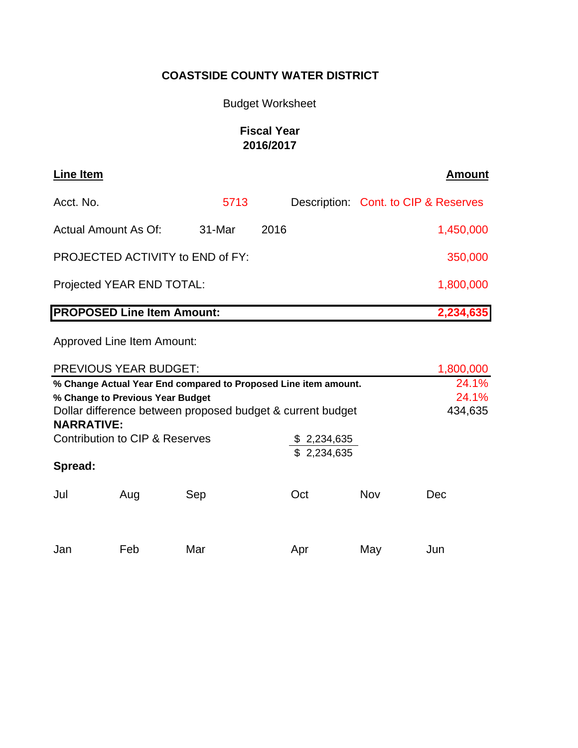# Budget Worksheet

# **Fiscal Year 2016/2017**

| Line Item                                      |        |         | <b>Amount</b>                        |  |
|------------------------------------------------|--------|---------|--------------------------------------|--|
| Acct. No.                                      | 5713   |         | Description: Cont. to CIP & Reserves |  |
| Actual Amount As Of:                           | 31-Mar | 2016    | 1,450,000                            |  |
| <b>PROJECTED ACTIVITY to END of FY:</b>        |        | 350,000 |                                      |  |
| Projected YEAR END TOTAL:<br>1,800,000         |        |         |                                      |  |
| <b>PROPOSED Line Item Amount:</b><br>2,234,635 |        |         |                                      |  |

Approved Line Item Amount:

| <b>PREVIOUS YEAR BUDGET:</b>                                    | 1,800,000                        |                                                            |             |     |         |  |  |  |
|-----------------------------------------------------------------|----------------------------------|------------------------------------------------------------|-------------|-----|---------|--|--|--|
| % Change Actual Year End compared to Proposed Line item amount. | 24.1%                            |                                                            |             |     |         |  |  |  |
|                                                                 | % Change to Previous Year Budget |                                                            |             |     |         |  |  |  |
|                                                                 |                                  | Dollar difference between proposed budget & current budget |             |     | 434,635 |  |  |  |
| <b>NARRATIVE:</b>                                               |                                  |                                                            |             |     |         |  |  |  |
|                                                                 | Contribution to CIP & Reserves   |                                                            | \$2,234,635 |     |         |  |  |  |
|                                                                 |                                  |                                                            | \$2,234,635 |     |         |  |  |  |
| Spread:                                                         |                                  |                                                            |             |     |         |  |  |  |
| Jul                                                             | Aug                              | Sep                                                        | Oct         | Nov | Dec     |  |  |  |
| Jan                                                             | Feb                              | Mar                                                        | Apr         | May | Jun     |  |  |  |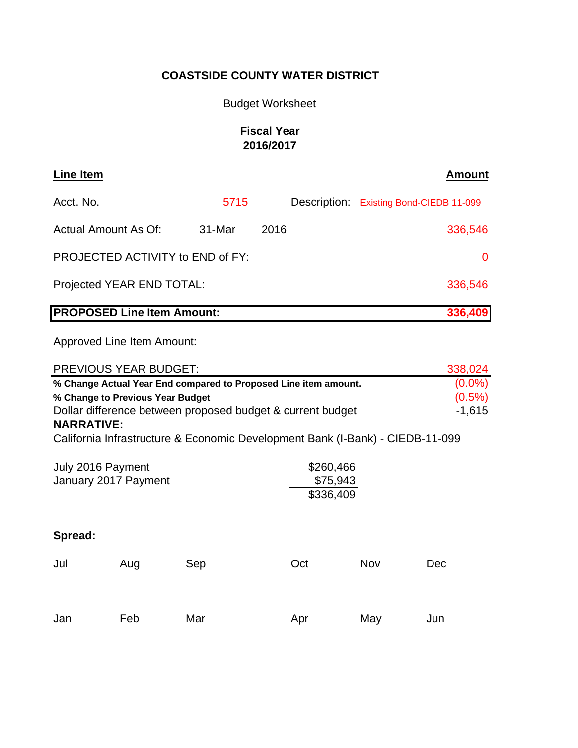# Budget Worksheet

# **Fiscal Year 2016/2017**

| <b>Line Item</b>                             |        |      | <b>Amount</b>                           |  |  |  |
|----------------------------------------------|--------|------|-----------------------------------------|--|--|--|
| Acct. No.                                    | 5715   |      | Description: Existing Bond-CIEDB 11-099 |  |  |  |
| <b>Actual Amount As Of:</b>                  | 31-Mar | 2016 | 336,546                                 |  |  |  |
| PROJECTED ACTIVITY to END of FY:             |        |      |                                         |  |  |  |
| Projected YEAR END TOTAL:                    |        |      |                                         |  |  |  |
| <b>PROPOSED Line Item Amount:</b><br>336,409 |        |      |                                         |  |  |  |
| Approved Line Item Amount:                   |        |      |                                         |  |  |  |
| ———————————————————                          |        |      | $\cdots$                                |  |  |  |

| <b>PREVIOUS YEAR BUDGET:</b>                                                                                                                                                                                                                                            | 338,024 |     |     |     |     |  |
|-------------------------------------------------------------------------------------------------------------------------------------------------------------------------------------------------------------------------------------------------------------------------|---------|-----|-----|-----|-----|--|
| % Change Actual Year End compared to Proposed Line item amount.<br>% Change to Previous Year Budget<br>Dollar difference between proposed budget & current budget<br><b>NARRATIVE:</b><br>California Infrastructure & Economic Development Bank (I-Bank) - CIEDB-11-099 |         |     |     |     |     |  |
| \$260,466<br>July 2016 Payment<br>\$75,943<br>January 2017 Payment<br>\$336,409                                                                                                                                                                                         |         |     |     |     |     |  |
| Spread:                                                                                                                                                                                                                                                                 |         |     |     |     |     |  |
| Jul                                                                                                                                                                                                                                                                     | Aug     | Sep | Oct | Nov | Dec |  |
| Jan                                                                                                                                                                                                                                                                     | Feb     | Mar | Apr | May | Jun |  |